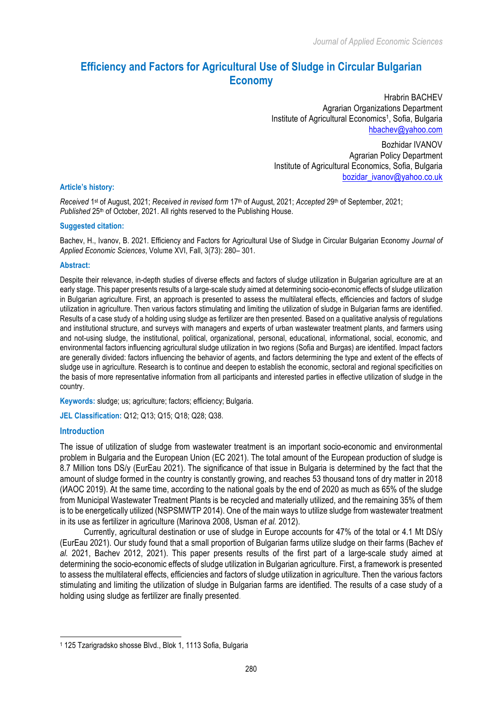# **Efficiency and Factors for Agricultural Use of Sludge in Circular Bulgarian Economy**

Hrabrin BACHEV Agrarian Organizations Department Institute of Agricultural Economics<sup>1</sup>, Sofia, Bulgaria hbachev@yahoo.com

Bozhidar IVANOV Agrarian Policy Department Institute of Agricultural Economics, Sofia, Bulgaria bozidar\_ivanov@yahoo.co.uk

#### **Article's history:**

*Received* 1st of August, 2021; *Received in revised form* 17th of August, 2021; *Accepted* 29th of September, 2021; Published 25<sup>th</sup> of October, 2021. All rights reserved to the Publishing House.

#### **Suggested citation:**

Bachev, H., Ivanov, B. 2021. Efficiency and Factors for Agricultural Use of Sludge in Circular Bulgarian Economy *Journal of Applied Economic Sciences*, Volume XVI, Fall, 3(73): 280– 301.

#### **Abstract:**

Despite their relevance, in-depth studies of diverse effects and factors of sludge utilization in Bulgarian agriculture are at an early stage. This paper presents results of a large-scale study aimed at determining socio-economic effects of sludge utilization in Bulgarian agriculture. First, an approach is presented to assess the multilateral effects, efficiencies and factors of sludge utilization in agriculture. Then various factors stimulating and limiting the utilization of sludge in Bulgarian farms are identified. Results of a case study of a holding using sludge as fertilizer are then presented. Based on a qualitative analysis of regulations and institutional structure, and surveys with managers and experts of urban wastewater treatment plants, and farmers using and not-using sludge, the institutional, political, organizational, personal, educational, informational, social, economic, and environmental factors influencing agricultural sludge utilization in two regions (Sofia and Burgas) are identified. Impact factors are generally divided: factors influencing the behavior of agents, and factors determining the type and extent of the effects of sludge use in agriculture. Research is to continue and deepen to establish the economic, sectoral and regional specificities on the basis of more representative information from all participants and interested parties in effective utilization of sludge in the country.

**Keywords:** sludge; us; agriculture; factors; efficiency; Bulgaria.

**JEL Classification:** Q12; Q13; Q15; Q18; Q28; Q38.

#### **Introduction**

l

The issue of utilization of sludge from wastewater treatment is an important socio-economic and environmental problem in Bulgaria and the European Union (EC 2021). The total amount of the European production of sludge is 8.7 Million tons DS/y (EurEau 2021). The significance of that issue in Bulgaria is determined by the fact that the amount of sludge formed in the country is constantly growing, and reaches 53 thousand tons of dry matter in 2018 (ИАОС 2019). At the same time, according to the national goals by the end of 2020 as much as 65% of the sludge from Municipal Wastewater Treatment Plants is be recycled and materially utilized, and the remaining 35% of them is to be energetically utilized (NSPSMWTP 2014). One of the main ways to utilize sludge from wastewater treatment in its use as fertilizer in agriculture (Мarinova 2008, Usman *et al.* 2012).

Currently, agricultural destination or use of sludge in Europe accounts for 47% of the total or 4.1 Mt DS/y (EurEau 2021). Our study found that a small proportion of Bulgarian farms utilize sludge on their farms (Bachev *et al.* 2021, Bachev 2012, 2021). This paper presents results of the first part of a large-scale study aimed at determining the socio-economic effects of sludge utilization in Bulgarian agriculture. First, a framework is presented to assess the multilateral effects, efficiencies and factors of sludge utilization in agriculture. Then the various factors stimulating and limiting the utilization of sludge in Bulgarian farms are identified. The results of a case study of a holding using sludge as fertilizer are finally presented.

<sup>1</sup> 125 Tzarigradsko shosse Blvd., Blok 1, 1113 Sofia, Bulgaria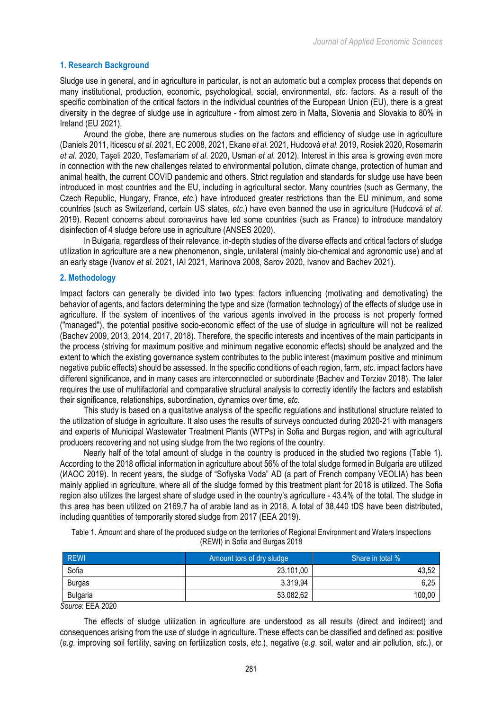# **1. Research Background**

Sludge use in general, and in agriculture in particular, is not an automatic but a complex process that depends on many institutional, production, economic, psychological, social, environmental, *etc.* factors. As a result of the specific combination of the critical factors in the individual countries of the European Union (EU), there is a great diversity in the degree of sludge use in agriculture - from almost zero in Malta, Slovenia and Slovakia to 80% in Ireland (EU 2021).

Around the globe, there are numerous studies on the factors and efficiency of sludge use in agriculture (Daniels 2011, Iticescu *et al.* 2021, EC 2008, 2021, Ekane *et al.* 2021, Hudcová *et al.* 2019, Rosiek 2020, Rosemarin *et al.* 2020, Taşeli 2020, Tesfamariam *et al*. 2020, Usman *et al.* 2012). Interest in this area is growing even more in connection with the new challenges related to environmental pollution, climate change, protection of human and animal health, the current COVID pandemic and others. Strict regulation and standards for sludge use have been introduced in most countries and the EU, including in agricultural sector. Many countries (such as Germany, the Czech Republic, Hungary, France, *etc*.) have introduced greater restrictions than the EU minimum, and some countries (such as Switzerland, certain US states, *etc*.) have even banned the use in agriculture (Hudcová *et al.* 2019). Recent concerns about coronavirus have led some countries (such as France) to introduce mandatory disinfection of 4 sludge before use in agriculture (ANSES 2020).

In Bulgaria, regardless of their relevance, in-depth studies of the diverse effects and critical factors of sludge utilization in agriculture are a new phenomenon, single, unilateral (mainly bio-chemical and agronomic use) and at an early stage (Ivanov *et al.* 2021, IAI 2021, Маrinova 2008, Sarov 2020, Ivanov and Bachev 2021).

## **2. Methodology**

Impact factors can generally be divided into two types: factors influencing (motivating and demotivating) the behavior of agents, and factors determining the type and size (formation technology) of the effects of sludge use in agriculture. If the system of incentives of the various agents involved in the process is not properly formed ("managed"), the potential positive socio-economic effect of the use of sludge in agriculture will not be realized (Bachev 2009, 2013, 2014, 2017, 2018). Therefore, the specific interests and incentives of the main participants in the process (striving for maximum positive and minimum negative economic effects) should be analyzed and the extent to which the existing governance system contributes to the public interest (maximum positive and minimum negative public effects) should be assessed. In the specific conditions of each region, farm, *etc*. impact factors have different significance, and in many cases are interconnected or subordinate (Bachev and Terziev 2018). The later requires the use of multifactorial and comparative structural analysis to correctly identify the factors and establish their significance, relationships, subordination, dynamics over time, *etc*.

This study is based on a qualitative analysis of the specific regulations and institutional structure related to the utilization of sludge in agriculture. It also uses the results of surveys conducted during 2020-21 with managers and experts of Municipal Wastewater Treatment Plants (WTPs) in Sofia and Burgas region, and with agricultural producers recovering and not using sludge from the two regions of the country.

Nearly half of the total amount of sludge in the country is produced in the studied two regions (Table 1). According to the 2018 official information in agriculture about 56% of the total sludge formed in Bulgaria are utilized (ИАОС 2019). In recent years, the sludge of "Sofiyska Voda" AD (a part of French company VEOLIA) has been mainly applied in agriculture, where all of the sludge formed by this treatment plant for 2018 is utilized. The Sofia region also utilizes the largest share of sludge used in the country's agriculture - 43.4% of the total. The sludge in this area has been utilized on 2169,7 ha of arable land as in 2018. A total of 38,440 tDS have been distributed, including quantities of temporarily stored sludge from 2017 (EEA 2019).

Table 1. Amount and share of the produced sludge on the territories of Regional Environment and Waters Inspections (REWI) in Sofia and Burgas 2018

| <b>REWI</b>     | Amount tors of dry sludge | Share in total % |
|-----------------|---------------------------|------------------|
| Sofia           | 23.101,00                 | 43,52            |
| <b>Burgas</b>   | 3.319,94                  | 6,25             |
| <b>Bulgaria</b> | 53.082,62                 | 100,00           |

*Source*: EEA 2020

The effects of sludge utilization in agriculture are understood as all results (direct and indirect) and consequences arising from the use of sludge in agriculture. These effects can be classified and defined as: positive (*e.g.* improving soil fertility, saving on fertilization costs, *etc*.), negative (*e.g*. soil, water and air pollution, *etc*.), or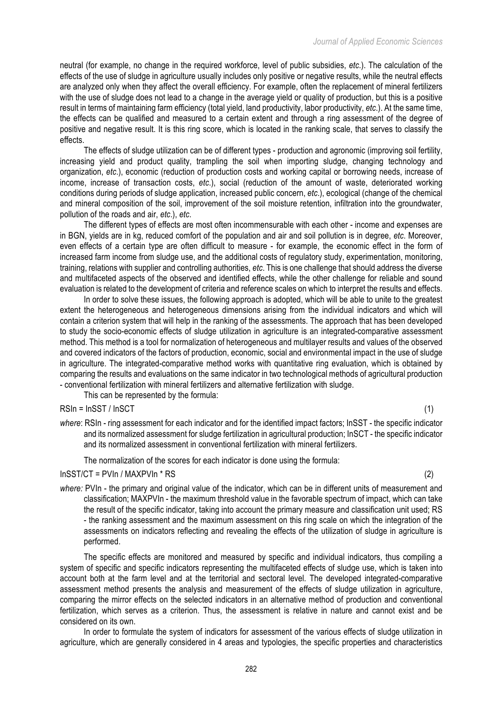neutral (for example, no change in the required workforce, level of public subsidies, *etc*.). The calculation of the effects of the use of sludge in agriculture usually includes only positive or negative results, while the neutral effects are analyzed only when they affect the overall efficiency. For example, often the replacement of mineral fertilizers with the use of sludge does not lead to a change in the average yield or quality of production, but this is a positive result in terms of maintaining farm efficiency (total yield, land productivity, labor productivity, *etc*.). At the same time, the effects can be qualified and measured to a certain extent and through a ring assessment of the degree of positive and negative result. It is this ring score, which is located in the ranking scale, that serves to classify the effects.

The effects of sludge utilization can be of different types - production and agronomic (improving soil fertility, increasing yield and product quality, trampling the soil when importing sludge, changing technology and organization, *etc*.), economic (reduction of production costs and working capital or borrowing needs, increase of income, increase of transaction costs, *etc*.), social (reduction of the amount of waste, deteriorated working conditions during periods of sludge application, increased public concern, *etc*.), ecological (change of the chemical and mineral composition of the soil, improvement of the soil moisture retention, infiltration into the groundwater, pollution of the roads and air, *etc*.), *etc*.

The different types of effects are most often incommensurable with each other - income and expenses are in BGN, yields are in kg, reduced comfort of the population and air and soil pollution is in degree, *etc*. Moreover, even effects of a certain type are often difficult to measure - for example, the economic effect in the form of increased farm income from sludge use, and the additional costs of regulatory study, experimentation, monitoring, training, relations with supplier and controlling authorities, *etc*. This is one challenge that should address the diverse and multifaceted aspects of the observed and identified effects, while the other challenge for reliable and sound evaluation is related to the development of criteria and reference scales on which to interpret the results and effects.

In order to solve these issues, the following approach is adopted, which will be able to unite to the greatest extent the heterogeneous and heterogeneous dimensions arising from the individual indicators and which will contain a criterion system that will help in the ranking of the assessments. The approach that has been developed to study the socio-economic effects of sludge utilization in agriculture is an integrated-comparative assessment method. This method is a tool for normalization of heterogeneous and multilayer results and values of the observed and covered indicators of the factors of production, economic, social and environmental impact in the use of sludge in agriculture. The integrated-comparative method works with quantitative ring evaluation, which is obtained by comparing the results and evaluations on the same indicator in two technological methods of agricultural production - conventional fertilization with mineral fertilizers and alternative fertilization with sludge.

This can be represented by the formula:

RSIn = InSST / InSCT (1) (1)

*where*: RSIn - ring assessment for each indicator and for the identified impact factors; InSST - the specific indicator and its normalized assessment for sludge fertilization in agricultural production; InSCT - the specific indicator and its normalized assessment in conventional fertilization with mineral fertilizers.

The normalization of the scores for each indicator is done using the formula:

#### $InSST/CT = PVIn / MAXPVIn * RS$  (2)

*where:* PVIn - the primary and original value of the indicator, which can be in different units of measurement and classification; MAXPVIn - the maximum threshold value in the favorable spectrum of impact, which can take the result of the specific indicator, taking into account the primary measure and classification unit used; RS - the ranking assessment and the maximum assessment on this ring scale on which the integration of the assessments on indicators reflecting and revealing the effects of the utilization of sludge in agriculture is performed.

The specific effects are monitored and measured by specific and individual indicators, thus compiling a system of specific and specific indicators representing the multifaceted effects of sludge use, which is taken into account both at the farm level and at the territorial and sectoral level. The developed integrated-comparative assessment method presents the analysis and measurement of the effects of sludge utilization in agriculture, comparing the mirror effects on the selected indicators in an alternative method of production and conventional fertilization, which serves as a criterion. Thus, the assessment is relative in nature and cannot exist and be considered on its own.

In order to formulate the system of indicators for assessment of the various effects of sludge utilization in agriculture, which are generally considered in 4 areas and typologies, the specific properties and characteristics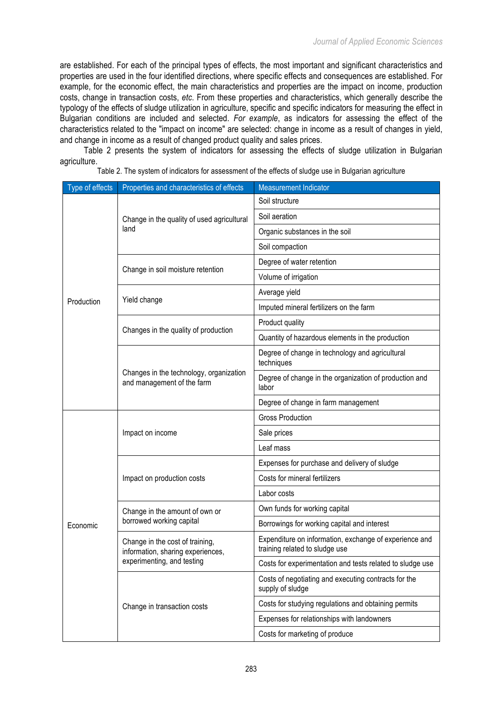are established. For each of the principal types of effects, the most important and significant characteristics and properties are used in the four identified directions, where specific effects and consequences are established. For example, for the economic effect, the main characteristics and properties are the impact on income, production costs, change in transaction costs, *etc*. From these properties and characteristics, which generally describe the typology of the effects of sludge utilization in agriculture, specific and specific indicators for measuring the effect in Bulgarian conditions are included and selected. *For example*, as indicators for assessing the effect of the characteristics related to the "impact on income" are selected: change in income as a result of changes in yield, and change in income as a result of changed product quality and sales prices.

Table 2 presents the system of indicators for assessing the effects of sludge utilization in Bulgarian agriculture.

Table 2. The system of indicators for assessment of the effects of sludge use in Bulgarian agriculture

| Type of effects | Properties and characteristics of effects                                                          | <b>Measurement Indicator</b>                                                             |
|-----------------|----------------------------------------------------------------------------------------------------|------------------------------------------------------------------------------------------|
|                 | Change in the quality of used agricultural<br>land                                                 | Soil structure                                                                           |
|                 |                                                                                                    | Soil aeration                                                                            |
|                 |                                                                                                    | Organic substances in the soil                                                           |
|                 |                                                                                                    | Soil compaction                                                                          |
|                 |                                                                                                    | Degree of water retention                                                                |
|                 | Change in soil moisture retention                                                                  | Volume of irrigation                                                                     |
|                 |                                                                                                    | Average yield                                                                            |
| Production      | Yield change                                                                                       | Imputed mineral fertilizers on the farm                                                  |
|                 |                                                                                                    | Product quality                                                                          |
|                 | Changes in the quality of production                                                               | Quantity of hazardous elements in the production                                         |
|                 | Changes in the technology, organization<br>and management of the farm                              | Degree of change in technology and agricultural<br>techniques                            |
|                 |                                                                                                    | Degree of change in the organization of production and<br>labor                          |
|                 |                                                                                                    | Degree of change in farm management                                                      |
|                 | Impact on income                                                                                   | <b>Gross Production</b>                                                                  |
|                 |                                                                                                    | Sale prices                                                                              |
|                 |                                                                                                    | Leaf mass                                                                                |
|                 | Impact on production costs                                                                         | Expenses for purchase and delivery of sludge                                             |
|                 |                                                                                                    | Costs for mineral fertilizers                                                            |
|                 |                                                                                                    | Labor costs                                                                              |
|                 | Change in the amount of own or<br>borrowed working capital                                         | Own funds for working capital                                                            |
| Economic        |                                                                                                    | Borrowings for working capital and interest                                              |
|                 | Change in the cost of training,<br>information, sharing experiences,<br>experimenting, and testing | Expenditure on information, exchange of experience and<br>training related to sludge use |
|                 |                                                                                                    | Costs for experimentation and tests related to sludge use                                |
|                 | Change in transaction costs                                                                        | Costs of negotiating and executing contracts for the<br>supply of sludge                 |
|                 |                                                                                                    | Costs for studying regulations and obtaining permits                                     |
|                 |                                                                                                    | Expenses for relationships with landowners                                               |
|                 |                                                                                                    | Costs for marketing of produce                                                           |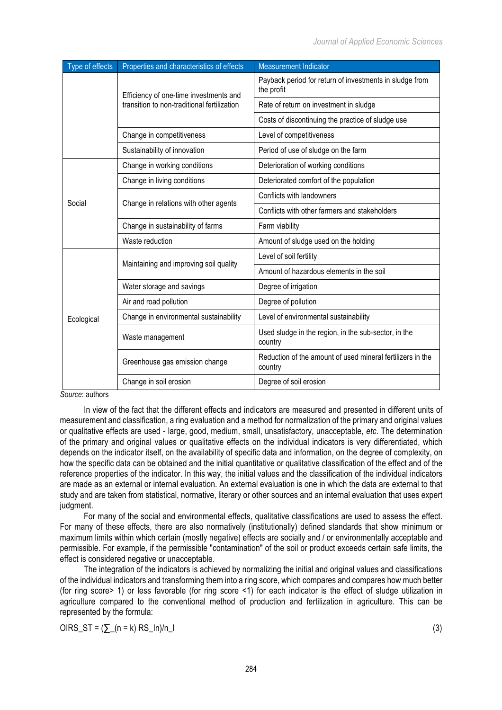| Type of effects | Properties and characteristics of effects                                             | <b>Measurement Indicator</b>                                          |
|-----------------|---------------------------------------------------------------------------------------|-----------------------------------------------------------------------|
|                 | Efficiency of one-time investments and<br>transition to non-traditional fertilization | Payback period for return of investments in sludge from<br>the profit |
|                 |                                                                                       | Rate of return on investment in sludge                                |
|                 |                                                                                       | Costs of discontinuing the practice of sludge use                     |
|                 | Change in competitiveness                                                             | Level of competitiveness                                              |
|                 | Sustainability of innovation                                                          | Period of use of sludge on the farm                                   |
|                 | Change in working conditions                                                          | Deterioration of working conditions                                   |
|                 | Change in living conditions                                                           | Deteriorated comfort of the population                                |
| Social          | Change in relations with other agents                                                 | Conflicts with landowners                                             |
|                 |                                                                                       | Conflicts with other farmers and stakeholders                         |
|                 | Change in sustainability of farms                                                     | Farm viability                                                        |
|                 | Waste reduction                                                                       | Amount of sludge used on the holding                                  |
|                 | Maintaining and improving soil quality                                                | Level of soil fertility                                               |
|                 |                                                                                       | Amount of hazardous elements in the soil                              |
|                 | Water storage and savings                                                             | Degree of irrigation                                                  |
| Ecological      | Air and road pollution                                                                | Degree of pollution                                                   |
|                 | Change in environmental sustainability                                                | Level of environmental sustainability                                 |
|                 | Waste management                                                                      | Used sludge in the region, in the sub-sector, in the<br>country       |
|                 | Greenhouse gas emission change                                                        | Reduction of the amount of used mineral fertilizers in the<br>country |
|                 | Change in soil erosion                                                                | Degree of soil erosion                                                |

*Source*: authors

In view of the fact that the different effects and indicators are measured and presented in different units of measurement and classification, a ring evaluation and a method for normalization of the primary and original values or qualitative effects are used - large, good, medium, small, unsatisfactory, unacceptable, *etc*. The determination of the primary and original values or qualitative effects on the individual indicators is very differentiated, which depends on the indicator itself, on the availability of specific data and information, on the degree of complexity, on how the specific data can be obtained and the initial quantitative or qualitative classification of the effect and of the reference properties of the indicator. In this way, the initial values and the classification of the individual indicators are made as an external or internal evaluation. An external evaluation is one in which the data are external to that study and are taken from statistical, normative, literary or other sources and an internal evaluation that uses expert judgment.

For many of the social and environmental effects, qualitative classifications are used to assess the effect. For many of these effects, there are also normatively (institutionally) defined standards that show minimum or maximum limits within which certain (mostly negative) effects are socially and / or environmentally acceptable and permissible. For example, if the permissible "contamination" of the soil or product exceeds certain safe limits, the effect is considered negative or unacceptable.

The integration of the indicators is achieved by normalizing the initial and original values and classifications of the individual indicators and transforming them into a ring score, which compares and compares how much better (for ring score> 1) or less favorable (for ring score <1) for each indicator is the effect of sludge utilization in agriculture compared to the conventional method of production and fertilization in agriculture. This can be represented by the formula:

 $OIRS_ST = (\sum (n = k) RS_ln)/n_l$  (3)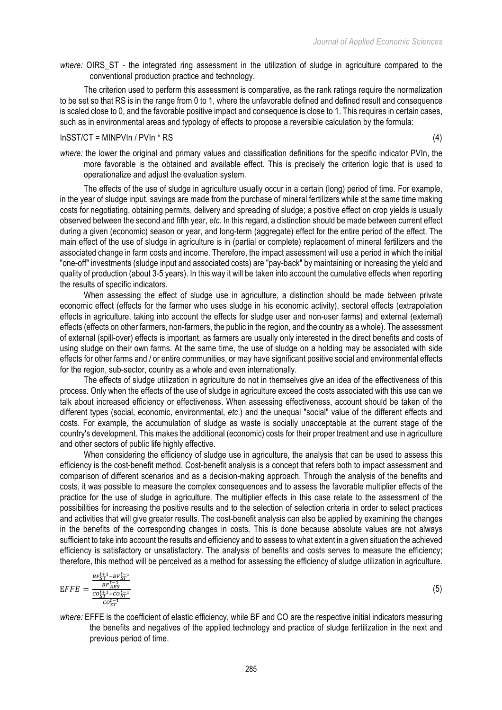*where:* OIRS\_ST - the integrated ring assessment in the utilization of sludge in agriculture compared to the conventional production practice and technology.

The criterion used to perform this assessment is comparative, as the rank ratings require the normalization to be set so that RS is in the range from 0 to 1, where the unfavorable defined and defined result and consequence is scaled close to 0, and the favorable positive impact and consequence is close to 1. This requires in certain cases, such as in environmental areas and typology of effects to propose a reversible calculation by the formula:

## $InSST/CT = MINPVIn / PVIn * RS$  (4)

*where:* the lower the original and primary values and classification definitions for the specific indicator PVIn, the more favorable is the obtained and available effect. This is precisely the criterion logic that is used to operationalize and adjust the evaluation system.

The effects of the use of sludge in agriculture usually occur in a certain (long) period of time. For example, in the year of sludge input, savings are made from the purchase of mineral fertilizers while at the same time making costs for negotiating, obtaining permits, delivery and spreading of sludge; a positive effect on crop yields is usually observed between the second and fifth year, *etc*. In this regard, a distinction should be made between current effect during a given (economic) season or year, and long-term (aggregate) effect for the entire period of the effect. The main effect of the use of sludge in agriculture is in (partial or complete) replacement of mineral fertilizers and the associated change in farm costs and income. Therefore, the impact assessment will use a period in which the initial "one-off" investments (sludge input and associated costs) are "pay-back" by maintaining or increasing the yield and quality of production (about 3-5 years). In this way it will be taken into account the cumulative effects when reporting the results of specific indicators.

When assessing the effect of sludge use in agriculture, a distinction should be made between private economic effect (effects for the farmer who uses sludge in his economic activity), sectoral effects (extrapolation effects in agriculture, taking into account the effects for sludge user and non-user farms) and external (external) effects (effects on other farmers, non-farmers, the public in the region, and the country as a whole). The assessment of external (spill-over) effects is important, as farmers are usually only interested in the direct benefits and costs of using sludge on their own farms. At the same time, the use of sludge on a holding may be associated with side effects for other farms and / or entire communities, or may have significant positive social and environmental effects for the region, sub-sector, country as a whole and even internationally.

The effects of sludge utilization in agriculture do not in themselves give an idea of the effectiveness of this process. Only when the effects of the use of sludge in agriculture exceed the costs associated with this use can we talk about increased efficiency or effectiveness. When assessing effectiveness, account should be taken of the different types (social, economic, environmental, *etc*.) and the unequal "social" value of the different effects and costs. For example, the accumulation of sludge as waste is socially unacceptable at the current stage of the country's development. This makes the additional (economic) costs for their proper treatment and use in agriculture and other sectors of public life highly effective.

When considering the efficiency of sludge use in agriculture, the analysis that can be used to assess this efficiency is the cost-benefit method. Cost-benefit analysis is a concept that refers both to impact assessment and comparison of different scenarios and as a decision-making approach. Through the analysis of the benefits and costs, it was possible to measure the complex consequences and to assess the favorable multiplier effects of the practice for the use of sludge in agriculture. The multiplier effects in this case relate to the assessment of the possibilities for increasing the positive results and to the selection of selection criteria in order to select practices and activities that will give greater results. The cost-benefit analysis can also be applied by examining the changes in the benefits of the corresponding changes in costs. This is done because absolute values are not always sufficient to take into account the results and efficiency and to assess to what extent in a given situation the achieved efficiency is satisfactory or unsatisfactory. The analysis of benefits and costs serves to measure the efficiency; therefore, this method will be perceived as a method for assessing the efficiency of sludge utilization in agriculture.

$$
EFF = \frac{\frac{BF_{ST}^{t+1} - BF_{ST}^{t-1}}{BF_{AES}^{t-1}}}{\frac{cost_{ST}^{t+1} - cot_{ST}^{-1}}{cost_{ST}^{t-1}}}
$$
(5)

*where:* ЕFFE is the coefficient of elastic efficiency, while BF and CO are the respective initial indicators measuring the benefits and negatives of the applied technology and practice of sludge fertilization in the next and previous period of time.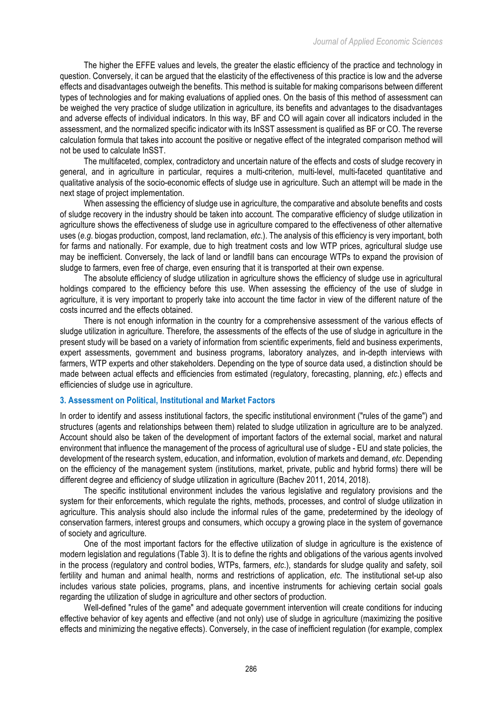The higher the EFFE values and levels, the greater the elastic efficiency of the practice and technology in question. Conversely, it can be argued that the elasticity of the effectiveness of this practice is low and the adverse effects and disadvantages outweigh the benefits. This method is suitable for making comparisons between different types of technologies and for making evaluations of applied ones. On the basis of this method of assessment can be weighed the very practice of sludge utilization in agriculture, its benefits and advantages to the disadvantages and adverse effects of individual indicators. In this way, BF and CO will again cover all indicators included in the assessment, and the normalized specific indicator with its InSST assessment is qualified as BF or CO. The reverse calculation formula that takes into account the positive or negative effect of the integrated comparison method will not be used to calculate InSST.

The multifaceted, complex, contradictory and uncertain nature of the effects and costs of sludge recovery in general, and in agriculture in particular, requires a multi-criterion, multi-level, multi-faceted quantitative and qualitative analysis of the socio-economic effects of sludge use in agriculture. Such an attempt will be made in the next stage of project implementation.

When assessing the efficiency of sludge use in agriculture, the comparative and absolute benefits and costs of sludge recovery in the industry should be taken into account. The comparative efficiency of sludge utilization in agriculture shows the effectiveness of sludge use in agriculture compared to the effectiveness of other alternative uses (*e.g*. biogas production, compost, land reclamation, *etc*.). The analysis of this efficiency is very important, both for farms and nationally. For example, due to high treatment costs and low WTP prices, agricultural sludge use may be inefficient. Conversely, the lack of land or landfill bans can encourage WTPs to expand the provision of sludge to farmers, even free of charge, even ensuring that it is transported at their own expense.

The absolute efficiency of sludge utilization in agriculture shows the efficiency of sludge use in agricultural holdings compared to the efficiency before this use. When assessing the efficiency of the use of sludge in agriculture, it is very important to properly take into account the time factor in view of the different nature of the costs incurred and the effects obtained.

There is not enough information in the country for a comprehensive assessment of the various effects of sludge utilization in agriculture. Therefore, the assessments of the effects of the use of sludge in agriculture in the present study will be based on a variety of information from scientific experiments, field and business experiments, expert assessments, government and business programs, laboratory analyzes, and in-depth interviews with farmers, WTP experts and other stakeholders. Depending on the type of source data used, a distinction should be made between actual effects and efficiencies from estimated (regulatory, forecasting, planning, *etc*.) effects and efficiencies of sludge use in agriculture.

#### **3. Assessment on Political, Institutional and Market Factors**

In order to identify and assess institutional factors, the specific institutional environment ("rules of the game") and structures (agents and relationships between them) related to sludge utilization in agriculture are to be analyzed. Account should also be taken of the development of important factors of the external social, market and natural environment that influence the management of the process of agricultural use of sludge - EU and state policies, the development of the research system, education, and information, evolution of markets and demand, *etc*. Depending on the efficiency of the management system (institutions, market, private, public and hybrid forms) there will be different degree and efficiency of sludge utilization in agriculture (Bachev 2011, 2014, 2018).

The specific institutional environment includes the various legislative and regulatory provisions and the system for their enforcements, which regulate the rights, methods, processes, and control of sludge utilization in agriculture. This analysis should also include the informal rules of the game, predetermined by the ideology of conservation farmers, interest groups and consumers, which occupy a growing place in the system of governance of society and agriculture.

One of the most important factors for the effective utilization of sludge in agriculture is the existence of modern legislation and regulations (Table 3). It is to define the rights and obligations of the various agents involved in the process (regulatory and control bodies, WTPs, farmers, *etc*.), standards for sludge quality and safety, soil fertility and human and animal health, norms and restrictions of application, *etc*. The institutional set-up also includes various state policies, programs, plans, and incentive instruments for achieving certain social goals regarding the utilization of sludge in agriculture and other sectors of production.

Well-defined "rules of the game" and adequate government intervention will create conditions for inducing effective behavior of key agents and effective (and not only) use of sludge in agriculture (maximizing the positive effects and minimizing the negative effects). Conversely, in the case of inefficient regulation (for example, complex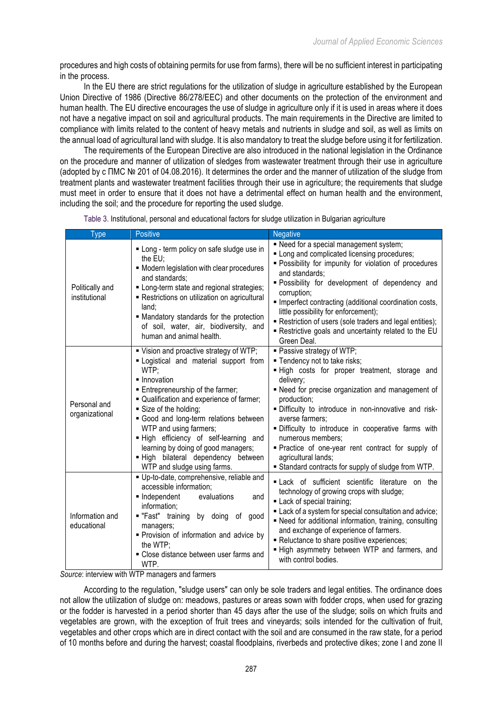procedures and high costs of obtaining permits for use from farms), there will be no sufficient interest in participating in the process.

In the EU there are strict regulations for the utilization of sludge in agriculture established by the European Union Directive of 1986 (Directive 86/278/EEC) and other documents on the protection of the environment and human health. The EU directive encourages the use of sludge in agriculture only if it is used in areas where it does not have a negative impact on soil and agricultural products. The main requirements in the Directive are limited to compliance with limits related to the content of heavy metals and nutrients in sludge and soil, as well as limits on the annual load of agricultural land with sludge. It is also mandatory to treat the sludge before using it for fertilization.

The requirements of the European Directive are also introduced in the national legislation in the Ordinance on the procedure and manner of utilization of sledges from wastewater treatment through their use in agriculture (adopted by с ПМС № 201 of 04.08.2016). It determines the order and the manner of utilization of the sludge from treatment plants and wastewater treatment facilities through their use in agriculture; the requirements that sludge must meet in order to ensure that it does not have a detrimental effect on human health and the environment, including the soil; and the procedure for reporting the used sludge.

| <b>Type</b>                      | <b>Positive</b>                                                                                                                                                                                                                                                                                                                                                                                                                                   | <b>Negative</b>                                                                                                                                                                                                                                                                                                                                                                                                                                                                                 |
|----------------------------------|---------------------------------------------------------------------------------------------------------------------------------------------------------------------------------------------------------------------------------------------------------------------------------------------------------------------------------------------------------------------------------------------------------------------------------------------------|-------------------------------------------------------------------------------------------------------------------------------------------------------------------------------------------------------------------------------------------------------------------------------------------------------------------------------------------------------------------------------------------------------------------------------------------------------------------------------------------------|
| Politically and<br>institutional | " Long - term policy on safe sludge use in<br>the $EU$ ;<br>• Modern legislation with clear procedures<br>and standards;<br>" Long-term state and regional strategies;<br>- Restrictions on utilization on agricultural<br>land:<br>• Mandatory standards for the protection<br>of soil, water, air, biodiversity, and<br>human and animal health.                                                                                                | - Need for a special management system;<br>. Long and complicated licensing procedures;<br>· Possibility for impunity for violation of procedures<br>and standards;<br>· Possibility for development of dependency and<br>corruption;<br>Imperfect contracting (additional coordination costs,<br>little possibility for enforcement);<br>Restriction of users (sole traders and legal entities);<br>- Restrictive goals and uncertainty related to the EU<br>Green Deal.                       |
| Personal and<br>organizational   | " Vision and proactive strategy of WTP;<br>" Logistical and material support from<br>WTP:<br>· Innovation<br><b>Entrepreneurship of the farmer;</b><br>" Qualification and experience of farmer;<br>Size of the holding;<br>Good and long-term relations between<br>WTP and using farmers;<br>. High efficiency of self-learning and<br>learning by doing of good managers;<br>- High bilateral dependency between<br>WTP and sludge using farms. | · Passive strategy of WTP;<br>" Tendency not to take risks;<br>. High costs for proper treatment, storage and<br>delivery;<br>- Need for precise organization and management of<br>production;<br>· Difficulty to introduce in non-innovative and risk-<br>averse farmers:<br>· Difficulty to introduce in cooperative farms with<br>numerous members;<br>· Practice of one-year rent contract for supply of<br>agricultural lands;<br><b>Standard contracts for supply of sludge from WTP.</b> |
| Information and<br>educational   | Up-to-date, comprehensive, reliable and<br>accessible information;<br>• Independent<br>evaluations<br>and<br>information;<br>"Fast" training<br>by doing of good<br>managers;<br>Provision of information and advice by<br>the WTP;<br>• Close distance between user farms and<br>WTP.                                                                                                                                                            | Lack of sufficient scientific literature on the<br>technology of growing crops with sludge;<br>Lack of special training;<br>Lack of a system for special consultation and advice;<br>• Need for additional information, training, consulting<br>and exchange of experience of farmers.<br>- Reluctance to share positive experiences;<br>. High asymmetry between WTP and farmers, and<br>with control bodies.                                                                                  |

Table 3. Institutional, personal and educational factors for sludge utilization in Bulgarian agriculture

*Source*: interview with WTP managers and farmers

According to the regulation, "sludge users" can only be sole traders and legal entities. The ordinance does not allow the utilization of sludge on: meadows, pastures or areas sown with fodder crops, when used for grazing or the fodder is harvested in a period shorter than 45 days after the use of the sludge; soils on which fruits and vegetables are grown, with the exception of fruit trees and vineyards; soils intended for the cultivation of fruit, vegetables and other crops which are in direct contact with the soil and are consumed in the raw state, for a period of 10 months before and during the harvest; coastal floodplains, riverbeds and protective dikes; zone I and zone II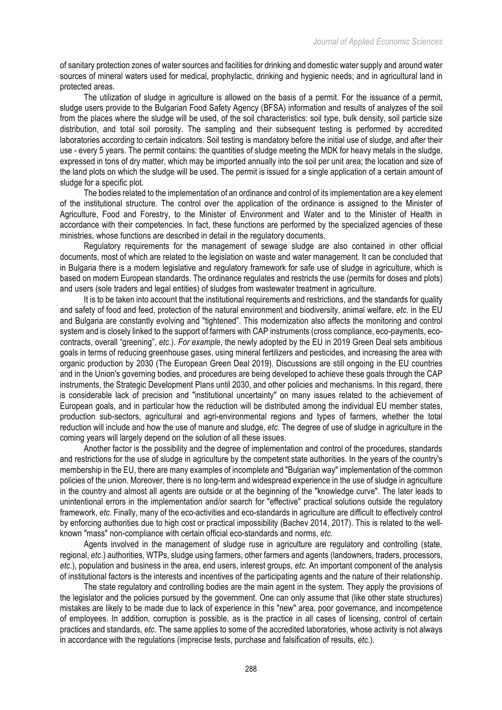of sanitary protection zones of water sources and facilities for drinking and domestic water supply and around water sources of mineral waters used for medical, prophylactic, drinking and hygienic needs; and in agricultural land in protected areas.

The utilization of sludge in agriculture is allowed on the basis of a permit. For the issuance of a permit, sludge users provide to the Bulgarian Food Safety Agency (BFSA) information and results of analyzes of the soil from the places where the sludge will be used, of the soil characteristics: soil type, bulk density, soil particle size distribution, and total soil porosity. The sampling and their subsequent testing is performed by accredited laboratories according to certain indicators. Soil testing is mandatory before the initial use of sludge, and after their use - every 5 years. The permit contains: the quantities of sludge meeting the MDK for heavy metals in the sludge, expressed in tons of dry matter, which may be imported annually into the soil per unit area; the location and size of the land plots on which the sludge will be used. The permit is issued for a single application of a certain amount of sludge for a specific plot.

The bodies related to the implementation of an ordinance and control of its implementation are a key element of the institutional structure. The control over the application of the ordinance is assigned to the Minister of Agriculture, Food and Forestry, to the Minister of Environment and Water and to the Minister of Health in accordance with their competencies. In fact, these functions are performed by the specialized agencies of these ministries, whose functions are described in detail in the regulatory documents.

Regulatory requirements for the management of sewage sludge are also contained in other official documents, most of which are related to the legislation on waste and water management. It can be concluded that in Bulgaria there is a modern legislative and regulatory framework for safe use of sludge in agriculture, which is based on modern European standards. The ordinance regulates and restricts the use (permits for doses and plots) and users (sole traders and legal entities) of sludges from wastewater treatment in agriculture.

It is to be taken into account that the institutional requirements and restrictions, and the standards for quality and safety of food and feed, protection of the natural environment and biodiversity, animal welfare, *etc*. in the EU and Bulgaria are constantly evolving and "tightened". This modernization also affects the monitoring and control system and is closely linked to the support of farmers with CAP instruments (cross compliance, eco-payments, ecocontracts, overall "greening", *etc*.). *For example*, the newly adopted by the EU in 2019 Green Deal sets ambitious goals in terms of reducing greenhouse gases, using mineral fertilizers and pesticides, and increasing the area with organic production by 2030 (The European Green Deal 2019). Discussions are still ongoing in the EU countries and in the Union's governing bodies, and procedures are being developed to achieve these goals through the CAP instruments, the Strategic Development Plans until 2030, and other policies and mechanisms. In this regard, there is considerable lack of precision and "institutional uncertainty" on many issues related to the achievement of European goals, and in particular how the reduction will be distributed among the individual EU member states, production sub-sectors, agricultural and agri-environmental regions and types of farmers, whether the total reduction will include and how the use of manure and sludge, *etc*. The degree of use of sludge in agriculture in the coming years will largely depend on the solution of all these issues.

Another factor is the possibility and the degree of implementation and control of the procedures, standards and restrictions for the use of sludge in agriculture by the competent state authorities. In the years of the country's membership in the EU, there are many examples of incomplete and "Bulgarian way" implementation of the common policies of the union. Moreover, there is no long-term and widespread experience in the use of sludge in agriculture in the country and almost all agents are outside or at the beginning of the "knowledge curve". The later leads to unintentional errors in the implementation and/or search for "effective" practical solutions outside the regulatory framework, *etc*. Finally, many of the eco-activities and eco-standards in agriculture are difficult to effectively control by enforcing authorities due to high cost or practical impossibility (Bachev 2014, 2017). This is related to the wellknown "mass" non-compliance with certain official eco-standards and norms, *etc*.

Agents involved in the management of sludge ruse in agriculture are regulatory and controlling (state, regional, *etc*.) authorities, WTPs, sludge using farmers, other farmers and agents (landowners, traders, processors, *etc*.), population and business in the area, end users, interest groups, *etc*. An important component of the analysis of institutional factors is the interests and incentives of the participating agents and the nature of their relationship.

The state regulatory and controlling bodies are the main agent in the system. They apply the provisions of the legislator and the policies pursued by the government. One can only assume that (like other state structures) mistakes are likely to be made due to lack of experience in this "new" area, poor governance, and incompetence of employees. In addition, corruption is possible, as is the practice in all cases of licensing, control of certain practices and standards, *etc*. The same applies to some of the accredited laboratories, whose activity is not always in accordance with the regulations (imprecise tests, purchase and falsification of results, *etc*.).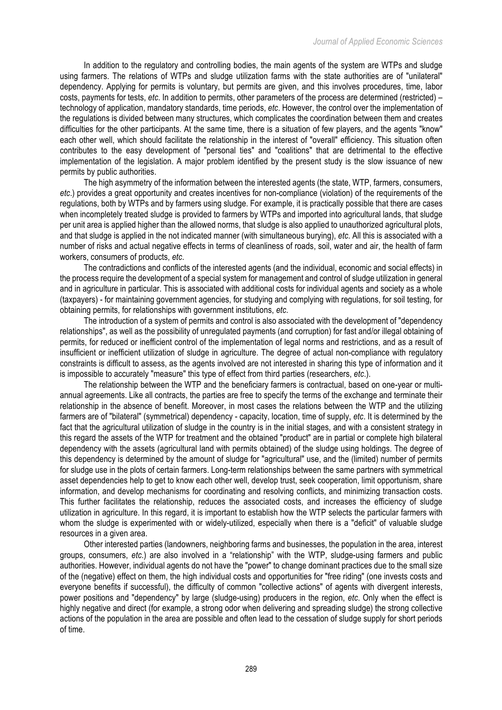In addition to the regulatory and controlling bodies, the main agents of the system are WTPs and sludge using farmers. The relations of WTPs and sludge utilization farms with the state authorities are of "unilateral" dependency. Applying for permits is voluntary, but permits are given, and this involves procedures, time, labor costs, payments for tests, *etc*. In addition to permits, other parameters of the process are determined (restricted) – technology of application, mandatory standards, time periods, *etc*. However, the control over the implementation of the regulations is divided between many structures, which complicates the coordination between them and creates difficulties for the other participants. At the same time, there is a situation of few players, and the agents "know" each other well, which should facilitate the relationship in the interest of "overall" efficiency. This situation often contributes to the easy development of "personal ties" and "coalitions" that are detrimental to the effective implementation of the legislation. A major problem identified by the present study is the slow issuance of new permits by public authorities.

The high asymmetry of the information between the interested agents (the state, WTP, farmers, consumers, *etc*.) provides a great opportunity and creates incentives for non-compliance (violation) of the requirements of the regulations, both by WTPs and by farmers using sludge. For example, it is practically possible that there are cases when incompletely treated sludge is provided to farmers by WTPs and imported into agricultural lands, that sludge per unit area is applied higher than the allowed norms, that sludge is also applied to unauthorized agricultural plots, and that sludge is applied in the not indicated manner (with simultaneous burying), *etc*. All this is associated with a number of risks and actual negative effects in terms of cleanliness of roads, soil, water and air, the health of farm workers, consumers of products, *etc*.

The contradictions and conflicts of the interested agents (and the individual, economic and social effects) in the process require the development of a special system for management and control of sludge utilization in general and in agriculture in particular. This is associated with additional costs for individual agents and society as a whole (taxpayers) - for maintaining government agencies, for studying and complying with regulations, for soil testing, for obtaining permits, for relationships with government institutions, *etc*.

The introduction of a system of permits and control is also associated with the development of "dependency relationships", as well as the possibility of unregulated payments (and corruption) for fast and/or illegal obtaining of permits, for reduced or inefficient control of the implementation of legal norms and restrictions, and as a result of insufficient or inefficient utilization of sludge in agriculture. The degree of actual non-compliance with regulatory constraints is difficult to assess, as the agents involved are not interested in sharing this type of information and it is impossible to accurately "measure" this type of effect from third parties (researchers, *etc*.).

The relationship between the WTP and the beneficiary farmers is contractual, based on one-year or multiannual agreements. Like all contracts, the parties are free to specify the terms of the exchange and terminate their relationship in the absence of benefit. Moreover, in most cases the relations between the WTP and the utilizing farmers are of "bilateral" (symmetrical) dependency - capacity, location, time of supply, *etc*. It is determined by the fact that the agricultural utilization of sludge in the country is in the initial stages, and with a consistent strategy in this regard the assets of the WTP for treatment and the obtained "product" are in partial or complete high bilateral dependency with the assets (agricultural land with permits obtained) of the sludge using holdings. The degree of this dependency is determined by the amount of sludge for "agricultural" use, and the (limited) number of permits for sludge use in the plots of certain farmers. Long-term relationships between the same partners with symmetrical asset dependencies help to get to know each other well, develop trust, seek cooperation, limit opportunism, share information, and develop mechanisms for coordinating and resolving conflicts, and minimizing transaction costs. This further facilitates the relationship, reduces the associated costs, and increases the efficiency of sludge utilization in agriculture. In this regard, it is important to establish how the WTP selects the particular farmers with whom the sludge is experimented with or widely-utilized, especially when there is a "deficit" of valuable sludge resources in a given area.

Other interested parties (landowners, neighboring farms and businesses, the population in the area, interest groups, consumers, *etc*.) are also involved in a "relationship" with the WTP, sludge-using farmers and public authorities. However, individual agents do not have the "power" to change dominant practices due to the small size of the (negative) effect on them, the high individual costs and opportunities for "free riding" (one invests costs and everyone benefits if successful), the difficulty of common "collective actions" of agents with divergent interests, power positions and "dependency" by large (sludge-using) producers in the region, *etc*. Only when the effect is highly negative and direct (for example, a strong odor when delivering and spreading sludge) the strong collective actions of the population in the area are possible and often lead to the cessation of sludge supply for short periods of time.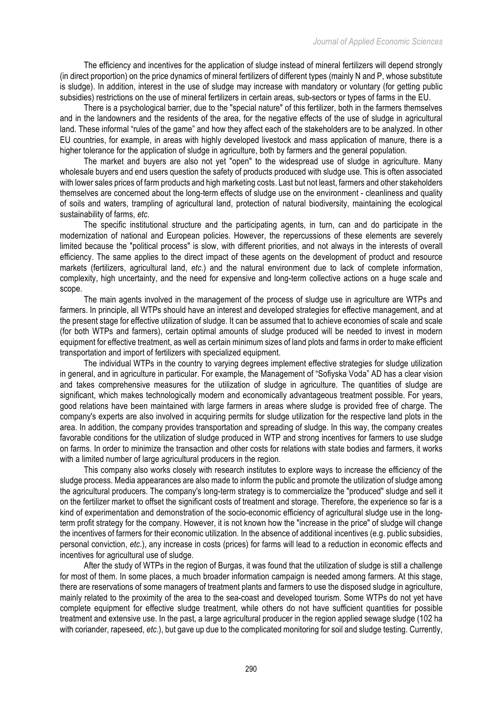The efficiency and incentives for the application of sludge instead of mineral fertilizers will depend strongly (in direct proportion) on the price dynamics of mineral fertilizers of different types (mainly N and P, whose substitute is sludge). In addition, interest in the use of sludge may increase with mandatory or voluntary (for getting public subsidies) restrictions on the use of mineral fertilizers in certain areas, sub-sectors or types of farms in the EU.

There is a psychological barrier, due to the "special nature" of this fertilizer, both in the farmers themselves and in the landowners and the residents of the area, for the negative effects of the use of sludge in agricultural land. These informal "rules of the game" and how they affect each of the stakeholders are to be analyzed. In other EU countries, for example, in areas with highly developed livestock and mass application of manure, there is a higher tolerance for the application of sludge in agriculture, both by farmers and the general population.

The market and buyers are also not yet "open" to the widespread use of sludge in agriculture. Many wholesale buyers and end users question the safety of products produced with sludge use. This is often associated with lower sales prices of farm products and high marketing costs. Last but not least, farmers and other stakeholders themselves are concerned about the long-term effects of sludge use on the environment - cleanliness and quality of soils and waters, trampling of agricultural land, protection of natural biodiversity, maintaining the ecological sustainability of farms, *etc*.

The specific institutional structure and the participating agents, in turn, can and do participate in the modernization of national and European policies. However, the repercussions of these elements are severely limited because the "political process" is slow, with different priorities, and not always in the interests of overall efficiency. The same applies to the direct impact of these agents on the development of product and resource markets (fertilizers, agricultural land, *etc*.) and the natural environment due to lack of complete information, complexity, high uncertainty, and the need for expensive and long-term collective actions on a huge scale and scope.

The main agents involved in the management of the process of sludge use in agriculture are WTPs and farmers. In principle, all WTPs should have an interest and developed strategies for effective management, and at the present stage for effective utilization of sludge. It can be assumed that to achieve economies of scale and scale (for both WTPs and farmers), certain optimal amounts of sludge produced will be needed to invest in modern equipment for effective treatment, as well as certain minimum sizes of land plots and farms in order to make efficient transportation and import of fertilizers with specialized equipment.

The individual WTPs in the country to varying degrees implement effective strategies for sludge utilization in general, and in agriculture in particular. For example, the Management of "Sofiyska Voda" AD has a clear vision and takes comprehensive measures for the utilization of sludge in agriculture. The quantities of sludge are significant, which makes technologically modern and economically advantageous treatment possible. For years, good relations have been maintained with large farmers in areas where sludge is provided free of charge. The company's experts are also involved in acquiring permits for sludge utilization for the respective land plots in the area. In addition, the company provides transportation and spreading of sludge. In this way, the company creates favorable conditions for the utilization of sludge produced in WTP and strong incentives for farmers to use sludge on farms. In order to minimize the transaction and other costs for relations with state bodies and farmers, it works with a limited number of large agricultural producers in the region.

This company also works closely with research institutes to explore ways to increase the efficiency of the sludge process. Media appearances are also made to inform the public and promote the utilization of sludge among the agricultural producers. The company's long-term strategy is to commercialize the "produced" sludge and sell it on the fertilizer market to offset the significant costs of treatment and storage. Therefore, the experience so far is a kind of experimentation and demonstration of the socio-economic efficiency of agricultural sludge use in the longterm profit strategy for the company. However, it is not known how the "increase in the price" of sludge will change the incentives of farmers for their economic utilization. In the absence of additional incentives (e.g. public subsidies, personal conviction, *etc*.), any increase in costs (prices) for farms will lead to a reduction in economic effects and incentives for agricultural use of sludge.

After the study of WTPs in the region of Burgas, it was found that the utilization of sludge is still a challenge for most of them. In some places, a much broader information campaign is needed among farmers. At this stage, there are reservations of some managers of treatment plants and farmers to use the disposed sludge in agriculture, mainly related to the proximity of the area to the sea-coast and developed tourism. Some WTPs do not yet have complete equipment for effective sludge treatment, while others do not have sufficient quantities for possible treatment and extensive use. In the past, a large agricultural producer in the region applied sewage sludge (102 ha with coriander, rapeseed, *etc*.), but gave up due to the complicated monitoring for soil and sludge testing. Currently,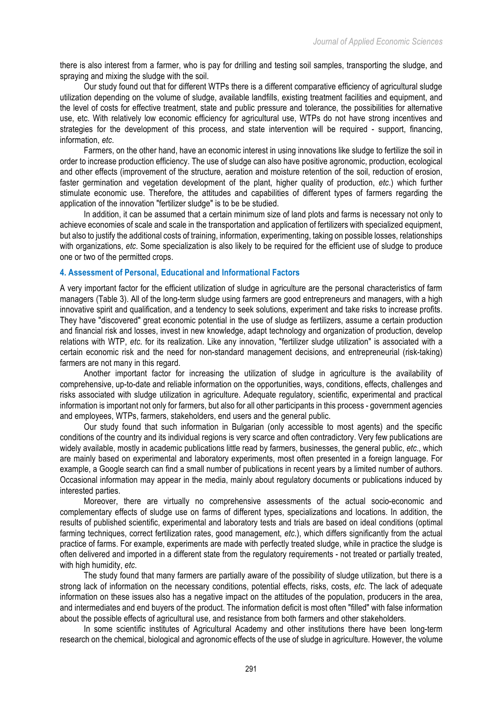there is also interest from a farmer, who is pay for drilling and testing soil samples, transporting the sludge, and spraying and mixing the sludge with the soil.

Our study found out that for different WTPs there is a different comparative efficiency of agricultural sludge utilization depending on the volume of sludge, available landfills, existing treatment facilities and equipment, and the level of costs for effective treatment, state and public pressure and tolerance, the possibilities for alternative use, etc. With relatively low economic efficiency for agricultural use, WTPs do not have strong incentives and strategies for the development of this process, and state intervention will be required - support, financing, information, *etc*.

Farmers, on the other hand, have an economic interest in using innovations like sludge to fertilize the soil in order to increase production efficiency. The use of sludge can also have positive agronomic, production, ecological and other effects (improvement of the structure, aeration and moisture retention of the soil, reduction of erosion, faster germination and vegetation development of the plant, higher quality of production, *etc*.) which further stimulate economic use. Therefore, the attitudes and capabilities of different types of farmers regarding the application of the innovation "fertilizer sludge" is to be be studied.

In addition, it can be assumed that a certain minimum size of land plots and farms is necessary not only to achieve economies of scale and scale in the transportation and application of fertilizers with specialized equipment, but also to justify the additional costs of training, information, experimenting, taking on possible losses, relationships with organizations, *etc*. Some specialization is also likely to be required for the efficient use of sludge to produce one or two of the permitted crops.

## **4. Assessment of Personal, Educational and Informational Factors**

A very important factor for the efficient utilization of sludge in agriculture are the personal characteristics of farm managers (Table 3). All of the long-term sludge using farmers are good entrepreneurs and managers, with a high innovative spirit and qualification, and a tendency to seek solutions, experiment and take risks to increase profits. They have "discovered" great economic potential in the use of sludge as fertilizers, assume a certain production and financial risk and losses, invest in new knowledge, adapt technology and organization of production, develop relations with WTP, *etc*. for its realization. Like any innovation, "fertilizer sludge utilization" is associated with a certain economic risk and the need for non-standard management decisions, and entrepreneurial (risk-taking) farmers are not many in this regard.

Another important factor for increasing the utilization of sludge in agriculture is the availability of comprehensive, up-to-date and reliable information on the opportunities, ways, conditions, effects, challenges and risks associated with sludge utilization in agriculture. Adequate regulatory, scientific, experimental and practical information is important not only for farmers, but also for all other participants in this process - government agencies and employees, WTPs, farmers, stakeholders, end users and the general public.

Our study found that such information in Bulgarian (only accessible to most agents) and the specific conditions of the country and its individual regions is very scarce and often contradictory. Very few publications are widely available, mostly in academic publications little read by farmers, businesses, the general public, *etc*., which are mainly based on experimental and laboratory experiments, most often presented in a foreign language. For example, a Google search can find a small number of publications in recent years by a limited number of authors. Occasional information may appear in the media, mainly about regulatory documents or publications induced by interested parties.

Moreover, there are virtually no comprehensive assessments of the actual socio-economic and complementary effects of sludge use on farms of different types, specializations and locations. In addition, the results of published scientific, experimental and laboratory tests and trials are based on ideal conditions (optimal farming techniques, correct fertilization rates, good management, *etc.*), which differs significantly from the actual practice of farms. For example, experiments are made with perfectly treated sludge, while in practice the sludge is often delivered and imported in a different state from the regulatory requirements - not treated or partially treated, with high humidity, *etc*.

The study found that many farmers are partially aware of the possibility of sludge utilization, but there is a strong lack of information on the necessary conditions, potential effects, risks, costs, *etc*. The lack of adequate information on these issues also has a negative impact on the attitudes of the population, producers in the area, and intermediates and end buyers of the product. The information deficit is most often "filled" with false information about the possible effects of agricultural use, and resistance from both farmers and other stakeholders.

In some scientific institutes of Agricultural Academy and other institutions there have been long-term research on the chemical, biological and agronomic effects of the use of sludge in agriculture. However, the volume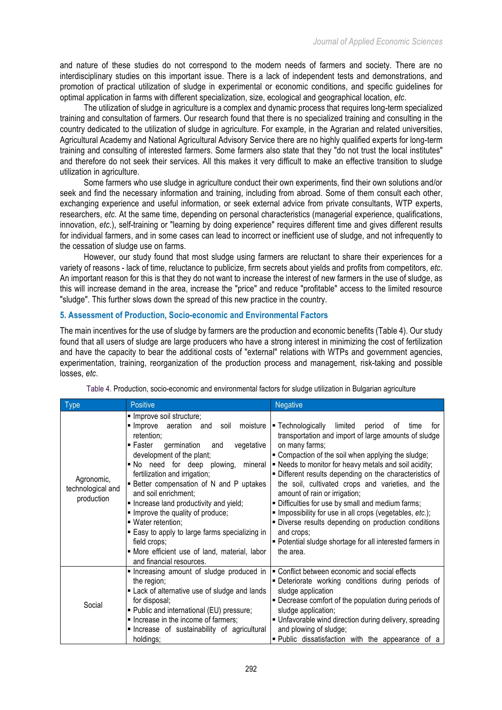and nature of these studies do not correspond to the modern needs of farmers and society. There are no interdisciplinary studies on this important issue. There is a lack of independent tests and demonstrations, and promotion of practical utilization of sludge in experimental or economic conditions, and specific guidelines for optimal application in farms with different specialization, size, ecological and geographical location, *etc*.

The utilization of sludge in agriculture is a complex and dynamic process that requires long-term specialized training and consultation of farmers. Our research found that there is no specialized training and consulting in the country dedicated to the utilization of sludge in agriculture. For example, in the Agrarian and related universities, Agricultural Academy and National Agricultural Advisory Service there are no highly qualified experts for long-term training and consulting of interested farmers. Some farmers also state that they "do not trust the local institutes" and therefore do not seek their services. All this makes it very difficult to make an effective transition to sludge utilization in agriculture.

Some farmers who use sludge in agriculture conduct their own experiments, find their own solutions and/or seek and find the necessary information and training, including from abroad. Some of them consult each other, exchanging experience and useful information, or seek external advice from private consultants, WTP experts, researchers, *etc*. At the same time, depending on personal characteristics (managerial experience, qualifications, innovation, *etc*.), self-training or "learning by doing experience" requires different time and gives different results for individual farmers, and in some cases can lead to incorrect or inefficient use of sludge, and not infrequently to the cessation of sludge use on farms.

However, our study found that most sludge using farmers are reluctant to share their experiences for a variety of reasons - lack of time, reluctance to publicize, firm secrets about yields and profits from competitors, *etc*. An important reason for this is that they do not want to increase the interest of new farmers in the use of sludge, as this will increase demand in the area, increase the "price" and reduce "profitable" access to the limited resource "sludge". This further slows down the spread of this new practice in the country.

## **5. Assessment of Production, Socio-economic and Environmental Factors**

The main incentives for the use of sludge by farmers are the production and economic benefits (Table 4). Our study found that all users of sludge are large producers who have a strong interest in minimizing the cost of fertilization and have the capacity to bear the additional costs of "external" relations with WTPs and government agencies, experimentation, training, reorganization of the production process and management, risk-taking and possible losses, *etc*.

| <b>Type</b>                                   | <b>Positive</b>                                                                                                                                                                                                                                                                                                                                                                                                                                                                                                                                                                     | <b>Negative</b>                                                                                                                                                                                                                                                                                                                                                                                                                                                                                                                                                                                                                                                   |
|-----------------------------------------------|-------------------------------------------------------------------------------------------------------------------------------------------------------------------------------------------------------------------------------------------------------------------------------------------------------------------------------------------------------------------------------------------------------------------------------------------------------------------------------------------------------------------------------------------------------------------------------------|-------------------------------------------------------------------------------------------------------------------------------------------------------------------------------------------------------------------------------------------------------------------------------------------------------------------------------------------------------------------------------------------------------------------------------------------------------------------------------------------------------------------------------------------------------------------------------------------------------------------------------------------------------------------|
| Agronomic,<br>technological and<br>production | · Improve soil structure;<br>Improve aeration and soil<br>moisture  <br>retention;<br>germination<br>$\blacksquare$ Faster<br>vegetative<br>and<br>development of the plant;<br>No need for deep plowing,<br>mineral<br>fertilization and irrigation;<br><b>Better compensation of N and P uptakes</b><br>and soil enrichment;<br>. Increase land productivity and yield;<br>. Improve the quality of produce;<br>· Water retention;<br>■ Easy to apply to large farms specializing in<br>field crops;<br>• More efficient use of land, material, labor<br>and financial resources. | ■ Technologically<br>limited period<br>of<br>time<br>tor<br>transportation and import of large amounts of sludge<br>on many farms;<br>■ Compaction of the soil when applying the sludge;<br>. Needs to monitor for heavy metals and soil acidity;<br>· Different results depending on the characteristics of<br>the soil, cultivated crops and varieties, and the<br>amount of rain or irrigation;<br>. Difficulties for use by small and medium farms;<br>Impossibility for use in all crops (vegetables, etc.);<br>· Diverse results depending on production conditions<br>and crops;<br>• Potential sludge shortage for all interested farmers in<br>the area. |
| Social                                        | Increasing amount of sludge produced in<br>the region;<br>• Lack of alternative use of sludge and lands<br>for disposal;<br>• Public and international (EU) pressure;<br>. Increase in the income of farmers;<br>Increase of sustainability of agricultural<br>holdings;                                                                                                                                                                                                                                                                                                            | • Conflict between economic and social effects<br>- Deteriorate working conditions during periods of<br>sludge application<br>• Decrease comfort of the population during periods of<br>sludge application;<br>. Unfavorable wind direction during delivery, spreading<br>and plowing of sludge;<br>· Public dissatisfaction with the appearance of a                                                                                                                                                                                                                                                                                                             |

Table 4. Production, socio-economic and environmental factors for sludge utilization in Bulgarian agriculture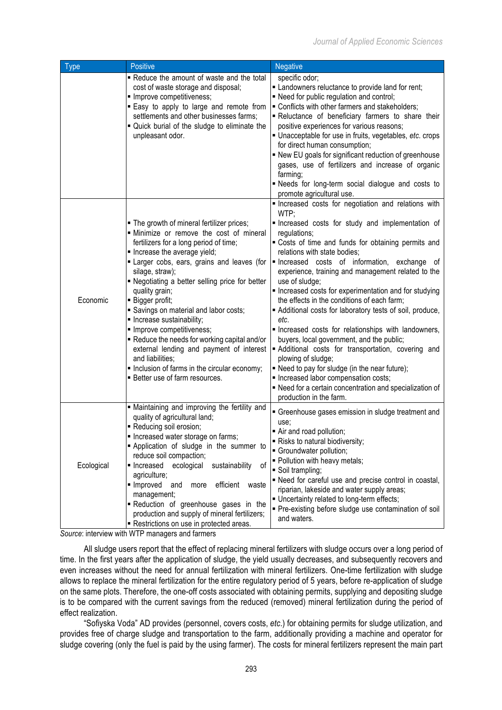| <b>Type</b> | Positive                                                                                                                                                                                                                                                                                                                                                                                                                                                                                                                                                                                                                      | <b>Negative</b>                                                                                                                                                                                                                                                                                                                                                                                                                                                                                                                                                                                                                                                                                                                                                                                                       |
|-------------|-------------------------------------------------------------------------------------------------------------------------------------------------------------------------------------------------------------------------------------------------------------------------------------------------------------------------------------------------------------------------------------------------------------------------------------------------------------------------------------------------------------------------------------------------------------------------------------------------------------------------------|-----------------------------------------------------------------------------------------------------------------------------------------------------------------------------------------------------------------------------------------------------------------------------------------------------------------------------------------------------------------------------------------------------------------------------------------------------------------------------------------------------------------------------------------------------------------------------------------------------------------------------------------------------------------------------------------------------------------------------------------------------------------------------------------------------------------------|
|             | - Reduce the amount of waste and the total<br>cost of waste storage and disposal;<br>· Improve competitiveness;<br>Easy to apply to large and remote from<br>settlements and other businesses farms;<br>" Quick burial of the sludge to eliminate the<br>unpleasant odor.                                                                                                                                                                                                                                                                                                                                                     | specific odor;<br>Landowners reluctance to provide land for rent;<br>- Need for public regulation and control;<br>" Conflicts with other farmers and stakeholders;<br>- Reluctance of beneficiary farmers to share their<br>positive experiences for various reasons;<br>Unacceptable for use in fruits, vegetables, etc. crops<br>for direct human consumption;<br>. New EU goals for significant reduction of greenhouse<br>gases, use of fertilizers and increase of organic<br>farming;<br>- Needs for long-term social dialogue and costs to<br>promote agricultural use.                                                                                                                                                                                                                                        |
|             |                                                                                                                                                                                                                                                                                                                                                                                                                                                                                                                                                                                                                               | Increased costs for negotiation and relations with<br>WTP;                                                                                                                                                                                                                                                                                                                                                                                                                                                                                                                                                                                                                                                                                                                                                            |
| Economic    | . The growth of mineral fertilizer prices;<br>· Minimize or remove the cost of mineral<br>fertilizers for a long period of time;<br>Increase the average yield;<br>Larger cobs, ears, grains and leaves (for<br>silage, straw);<br>- Negotiating a better selling price for better<br>quality grain;<br>· Bigger profit;<br>Savings on material and labor costs;<br>· Increase sustainability;<br>· Improve competitiveness;<br>Reduce the needs for working capital and/or<br>external lending and payment of interest<br>and liabilities;<br>Inclusion of farms in the circular economy;<br>■ Better use of farm resources. | Increased costs for study and implementation of<br>regulations;<br>. Costs of time and funds for obtaining permits and<br>relations with state bodies;<br>Increased costs of information, exchange of<br>experience, training and management related to the<br>use of sludge;<br>Increased costs for experimentation and for studying<br>the effects in the conditions of each farm;<br>Additional costs for laboratory tests of soil, produce,<br>etc.<br>Increased costs for relationships with landowners,<br>buyers, local government, and the public;<br>Additional costs for transportation, covering and<br>plowing of sludge;<br>. Need to pay for sludge (in the near future);<br>Increased labor compensation costs;<br>- Need for a certain concentration and specialization of<br>production in the farm. |
| Ecological  | · Maintaining and improving the fertility and<br>quality of agricultural land;<br>Reducing soil erosion;<br>Increased water storage on farms;<br>Application of sludge in the summer to<br>reduce soil compaction;<br>ecological<br>sustainability<br>0f<br>lncreased<br>agriculture;<br>· Improved<br>efficient<br>and<br>waste<br>more<br>management;<br>Reduction of greenhouse gases in the<br>production and supply of mineral fertilizers;<br>Restrictions on use in protected areas.                                                                                                                                   | Greenhouse gases emission in sludge treatment and<br>use;<br>Air and road pollution;<br>- Risks to natural biodiversity;<br>Groundwater pollution;<br>· Pollution with heavy metals;<br>Soil trampling;<br>- Need for careful use and precise control in coastal,<br>riparian, lakeside and water supply areas;<br>. Uncertainty related to long-term effects;<br>• Pre-existing before sludge use contamination of soil<br>and waters.                                                                                                                                                                                                                                                                                                                                                                               |

*Source*: interview with WTP managers and farmers

All sludge users report that the effect of replacing mineral fertilizers with sludge occurs over a long period of time. In the first years after the application of sludge, the yield usually decreases, and subsequently recovers and even increases without the need for annual fertilization with mineral fertilizers. One-time fertilization with sludge allows to replace the mineral fertilization for the entire regulatory period of 5 years, before re-application of sludge on the same plots. Therefore, the one-off costs associated with obtaining permits, supplying and depositing sludge is to be compared with the current savings from the reduced (removed) mineral fertilization during the period of effect realization.

"Sofiyska Voda" AD provides (personnel, covers costs, *etc*.) for obtaining permits for sludge utilization, and provides free of charge sludge and transportation to the farm, additionally providing a machine and operator for sludge covering (only the fuel is paid by the using farmer). The costs for mineral fertilizers represent the main part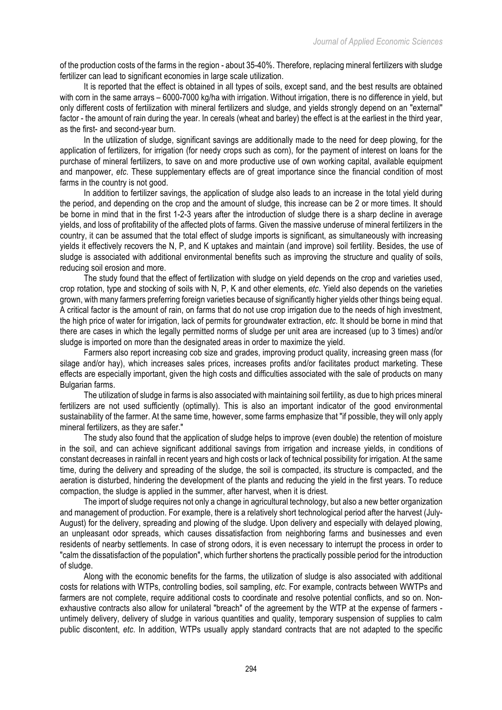of the production costs of the farms in the region - about 35-40%. Therefore, replacing mineral fertilizers with sludge fertilizer can lead to significant economies in large scale utilization.

It is reported that the effect is obtained in all types of soils, except sand, and the best results are obtained with corn in the same arrays – 6000-7000 kg/ha with irrigation. Without irrigation, there is no difference in yield, but only different costs of fertilization with mineral fertilizers and sludge, and yields strongly depend on an "external" factor - the amount of rain during the year. In cereals (wheat and barley) the effect is at the earliest in the third year, as the first- and second-year burn.

In the utilization of sludge, significant savings are additionally made to the need for deep plowing, for the application of fertilizers, for irrigation (for needy crops such as corn), for the payment of interest on loans for the purchase of mineral fertilizers, to save on and more productive use of own working capital, available equipment and manpower, *etc*. These supplementary effects are of great importance since the financial condition of most farms in the country is not good.

In addition to fertilizer savings, the application of sludge also leads to an increase in the total yield during the period, and depending on the crop and the amount of sludge, this increase can be 2 or more times. It should be borne in mind that in the first 1-2-3 years after the introduction of sludge there is a sharp decline in average yields, and loss of profitability of the affected plots of farms. Given the massive underuse of mineral fertilizers in the country, it can be assumed that the total effect of sludge imports is significant, as simultaneously with increasing yields it effectively recovers the N, P, and K uptakes and maintain (and improve) soil fertility. Besides, the use of sludge is associated with additional environmental benefits such as improving the structure and quality of soils, reducing soil erosion and more.

The study found that the effect of fertilization with sludge on yield depends on the crop and varieties used, crop rotation, type and stocking of soils with N, P, K and other elements, *etc*. Yield also depends on the varieties grown, with many farmers preferring foreign varieties because of significantly higher yields other things being equal. A critical factor is the amount of rain, on farms that do not use crop irrigation due to the needs of high investment, the high price of water for irrigation, lack of permits for groundwater extraction, *etc*. It should be borne in mind that there are cases in which the legally permitted norms of sludge per unit area are increased (up to 3 times) and/or sludge is imported on more than the designated areas in order to maximize the yield.

Farmers also report increasing cob size and grades, improving product quality, increasing green mass (for silage and/or hay), which increases sales prices, increases profits and/or facilitates product marketing. These effects are especially important, given the high costs and difficulties associated with the sale of products on many Bulgarian farms.

The utilization of sludge in farms is also associated with maintaining soil fertility, as due to high prices mineral fertilizers are not used sufficiently (optimally). This is also an important indicator of the good environmental sustainability of the farmer. At the same time, however, some farms emphasize that "if possible, they will only apply mineral fertilizers, as they are safer."

The study also found that the application of sludge helps to improve (even double) the retention of moisture in the soil, and can achieve significant additional savings from irrigation and increase yields, in conditions of constant decreases in rainfall in recent years and high costs or lack of technical possibility for irrigation. At the same time, during the delivery and spreading of the sludge, the soil is compacted, its structure is compacted, and the aeration is disturbed, hindering the development of the plants and reducing the yield in the first years. To reduce compaction, the sludge is applied in the summer, after harvest, when it is driest.

The import of sludge requires not only a change in agricultural technology, but also a new better organization and management of production. For example, there is a relatively short technological period after the harvest (July-August) for the delivery, spreading and plowing of the sludge. Upon delivery and especially with delayed plowing, an unpleasant odor spreads, which causes dissatisfaction from neighboring farms and businesses and even residents of nearby settlements. In case of strong odors, it is even necessary to interrupt the process in order to "calm the dissatisfaction of the population", which further shortens the practically possible period for the introduction of sludge.

Along with the economic benefits for the farms, the utilization of sludge is also associated with additional costs for relations with WTPs, controlling bodies, soil sampling, *etc*. For example, contracts between WWTPs and farmers are not complete, require additional costs to coordinate and resolve potential conflicts, and so on. Nonexhaustive contracts also allow for unilateral "breach" of the agreement by the WTP at the expense of farmers untimely delivery, delivery of sludge in various quantities and quality, temporary suspension of supplies to calm public discontent, *etc*. In addition, WTPs usually apply standard contracts that are not adapted to the specific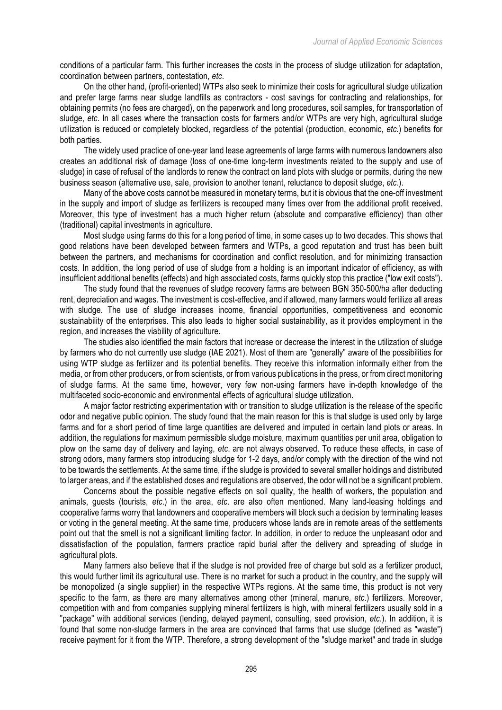conditions of a particular farm. This further increases the costs in the process of sludge utilization for adaptation, coordination between partners, contestation, *etc*.

On the other hand, (profit-oriented) WTPs also seek to minimize their costs for agricultural sludge utilization and prefer large farms near sludge landfills as contractors - cost savings for contracting and relationships, for obtaining permits (no fees are charged), on the paperwork and long procedures, soil samples, for transportation of sludge, *etc*. In all cases where the transaction costs for farmers and/or WTPs are very high, agricultural sludge utilization is reduced or completely blocked, regardless of the potential (production, economic, *etc*.) benefits for both parties.

The widely used practice of one-year land lease agreements of large farms with numerous landowners also creates an additional risk of damage (loss of one-time long-term investments related to the supply and use of sludge) in case of refusal of the landlords to renew the contract on land plots with sludge or permits, during the new business season (alternative use, sale, provision to another tenant, reluctance to deposit sludge, *etc*.).

Many of the above costs cannot be measured in monetary terms, but it is obvious that the one-off investment in the supply and import of sludge as fertilizers is recouped many times over from the additional profit received. Moreover, this type of investment has a much higher return (absolute and comparative efficiency) than other (traditional) capital investments in agriculture.

Most sludge using farms do this for a long period of time, in some cases up to two decades. This shows that good relations have been developed between farmers and WTPs, a good reputation and trust has been built between the partners, and mechanisms for coordination and conflict resolution, and for minimizing transaction costs. In addition, the long period of use of sludge from a holding is an important indicator of efficiency, as with insufficient additional benefits (effects) and high associated costs, farms quickly stop this practice ("low exit costs").

The study found that the revenues of sludge recovery farms are between BGN 350-500/ha after deducting rent, depreciation and wages. The investment is cost-effective, and if allowed, many farmers would fertilize all areas with sludge. The use of sludge increases income, financial opportunities, competitiveness and economic sustainability of the enterprises. This also leads to higher social sustainability, as it provides employment in the region, and increases the viability of agriculture.

The studies also identified the main factors that increase or decrease the interest in the utilization of sludge by farmers who do not currently use sludge (IAE 2021). Most of them are "generally" aware of the possibilities for using WTP sludge as fertilizer and its potential benefits. They receive this information informally either from the media, or from other producers, or from scientists, or from various publications in the press, or from direct monitoring of sludge farms. At the same time, however, very few non-using farmers have in-depth knowledge of the multifaceted socio-economic and environmental effects of agricultural sludge utilization.

A major factor restricting experimentation with or transition to sludge utilization is the release of the specific odor and negative public opinion. The study found that the main reason for this is that sludge is used only by large farms and for a short period of time large quantities are delivered and imputed in certain land plots or areas. In addition, the regulations for maximum permissible sludge moisture, maximum quantities per unit area, obligation to plow on the same day of delivery and laying, *etc*. are not always observed. To reduce these effects, in case of strong odors, many farmers stop introducing sludge for 1-2 days, and/or comply with the direction of the wind not to be towards the settlements. At the same time, if the sludge is provided to several smaller holdings and distributed to larger areas, and if the established doses and regulations are observed, the odor will not be a significant problem.

Concerns about the possible negative effects on soil quality, the health of workers, the population and animals, guests (tourists, *etc*.) in the area, *etc*. are also often mentioned. Many land-leasing holdings and cooperative farms worry that landowners and cooperative members will block such a decision by terminating leases or voting in the general meeting. At the same time, producers whose lands are in remote areas of the settlements point out that the smell is not a significant limiting factor. In addition, in order to reduce the unpleasant odor and dissatisfaction of the population, farmers practice rapid burial after the delivery and spreading of sludge in agricultural plots.

Many farmers also believe that if the sludge is not provided free of charge but sold as a fertilizer product, this would further limit its agricultural use. There is no market for such a product in the country, and the supply will be monopolized (a single supplier) in the respective WTPs regions. At the same time, this product is not very specific to the farm, as there are many alternatives among other (mineral, manure, *etc*.) fertilizers. Moreover, competition with and from companies supplying mineral fertilizers is high, with mineral fertilizers usually sold in a "package" with additional services (lending, delayed payment, consulting, seed provision, *etc*.). In addition, it is found that some non-sludge farmers in the area are convinced that farms that use sludge (defined as "waste") receive payment for it from the WTP. Therefore, a strong development of the "sludge market" and trade in sludge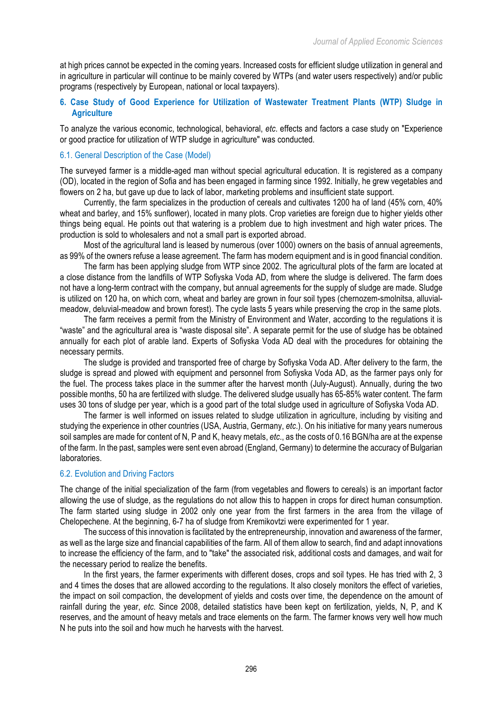at high prices cannot be expected in the coming years. Increased costs for efficient sludge utilization in general and in agriculture in particular will continue to be mainly covered by WTPs (and water users respectively) and/or public programs (respectively by European, national or local taxpayers).

## **6. Case Study of Good Experience for Utilization of Wastewater Treatment Plants (WTP) Sludge in Agriculture**

To analyze the various economic, technological, behavioral, *etc*. effects and factors a case study on "Experience or good practice for utilization of WTP sludge in agriculture" was conducted.

## 6.1. General Description of the Case (Model)

The surveyed farmer is a middle-aged man without special agricultural education. It is registered as a company (OD), located in the region of Sofia and has been engaged in farming since 1992. Initially, he grew vegetables and flowers on 2 ha, but gave up due to lack of labor, marketing problems and insufficient state support.

Currently, the farm specializes in the production of cereals and cultivates 1200 ha of land (45% corn, 40% wheat and barley, and 15% sunflower), located in many plots. Crop varieties are foreign due to higher yields other things being equal. He points out that watering is a problem due to high investment and high water prices. The production is sold to wholesalers and not a small part is exported abroad.

Most of the agricultural land is leased by numerous (over 1000) owners on the basis of annual agreements, as 99% of the owners refuse a lease agreement. The farm has modern equipment and is in good financial condition.

The farm has been applying sludge from WTP since 2002. The agricultural plots of the farm are located at a close distance from the landfills of WTP Sofiyska Voda AD, from where the sludge is delivered. The farm does not have a long-term contract with the company, but annual agreements for the supply of sludge are made. Sludge is utilized on 120 ha, on which corn, wheat and barley are grown in four soil types (chernozem-smolnitsa, alluvialmeadow, deluvial-meadow and brown forest). The cycle lasts 5 years while preserving the crop in the same plots.

The farm receives a permit from the Ministry of Environment and Water, according to the regulations it is "waste" and the agricultural area is "waste disposal site". A separate permit for the use of sludge has be obtained annually for each plot of arable land. Experts of Sofiyska Voda AD deal with the procedures for obtaining the necessary permits.

The sludge is provided and transported free of charge by Sofiyska Voda AD. After delivery to the farm, the sludge is spread and plowed with equipment and personnel from Sofiyska Voda AD, as the farmer pays only for the fuel. The process takes place in the summer after the harvest month (July-August). Annually, during the two possible months, 50 ha are fertilized with sludge. The delivered sludge usually has 65-85% water content. The farm uses 30 tons of sludge per year, which is a good part of the total sludge used in agriculture of Sofiyska Voda AD.

The farmer is well informed on issues related to sludge utilization in agriculture, including by visiting and studying the experience in other countries (USA, Austria, Germany, *etc*.). On his initiative for many years numerous soil samples are made for content of N, P and K, heavy metals, *etc*., as the costs of 0.16 BGN/ha are at the expense of the farm. In the past, samples were sent even abroad (England, Germany) to determine the accuracy of Bulgarian laboratories.

# 6.2. Evolution and Driving Factors

The change of the initial specialization of the farm (from vegetables and flowers to cereals) is an important factor allowing the use of sludge, as the regulations do not allow this to happen in crops for direct human consumption. The farm started using sludge in 2002 only one year from the first farmers in the area from the village of Chelopechene. At the beginning, 6-7 ha of sludge from Kremikovtzi were experimented for 1 year.

The success of this innovation is facilitated by the entrepreneurship, innovation and awareness of the farmer, as well as the large size and financial capabilities of the farm. All of them allow to search, find and adapt innovations to increase the efficiency of the farm, and to "take" the associated risk, additional costs and damages, and wait for the necessary period to realize the benefits.

In the first years, the farmer experiments with different doses, crops and soil types. He has tried with 2, 3 and 4 times the doses that are allowed according to the regulations. It also closely monitors the effect of varieties, the impact on soil compaction, the development of yields and costs over time, the dependence on the amount of rainfall during the year, *etc.* Since 2008, detailed statistics have been kept on fertilization, yields, N, P, and K reserves, and the amount of heavy metals and trace elements on the farm. The farmer knows very well how much N he puts into the soil and how much he harvests with the harvest.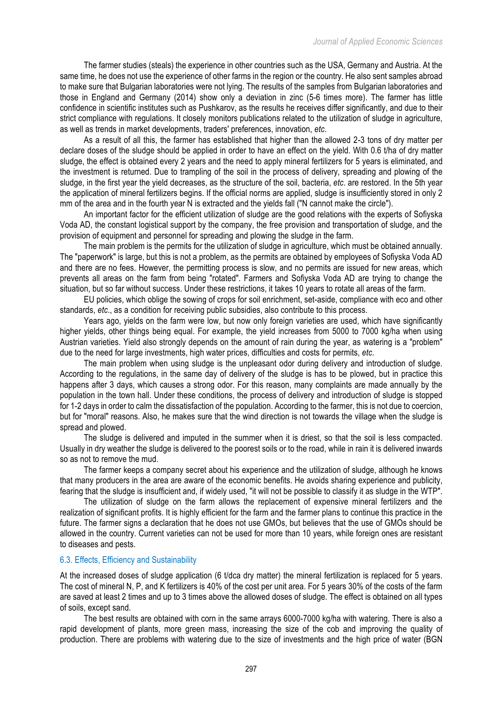The farmer studies (steals) the experience in other countries such as the USA, Germany and Austria. At the same time, he does not use the experience of other farms in the region or the country. He also sent samples abroad to make sure that Bulgarian laboratories were not lying. The results of the samples from Bulgarian laboratories and those in England and Germany (2014) show only a deviation in zinc (5-6 times more). The farmer has little confidence in scientific institutes such as Pushkarov, as the results he receives differ significantly, and due to their strict compliance with regulations. It closely monitors publications related to the utilization of sludge in agriculture, as well as trends in market developments, traders' preferences, innovation, *etc*.

As a result of all this, the farmer has established that higher than the allowed 2-3 tons of dry matter per declare doses of the sludge should be applied in order to have an effect on the yield. With 0.6 t/ha of dry matter sludge, the effect is obtained every 2 years and the need to apply mineral fertilizers for 5 years is eliminated, and the investment is returned. Due to trampling of the soil in the process of delivery, spreading and plowing of the sludge, in the first year the yield decreases, as the structure of the soil, bacteria, *etc*. are restored. In the 5th year the application of mineral fertilizers begins. If the official norms are applied, sludge is insufficiently stored in only 2 mm of the area and in the fourth year N is extracted and the yields fall ("N cannot make the circle").

An important factor for the efficient utilization of sludge are the good relations with the experts of Sofiyska Voda AD, the constant logistical support by the company, the free provision and transportation of sludge, and the provision of equipment and personnel for spreading and plowing the sludge in the farm.

The main problem is the permits for the utilization of sludge in agriculture, which must be obtained annually. The "paperwork" is large, but this is not a problem, as the permits are obtained by employees of Sofiyska Voda AD and there are no fees. However, the permitting process is slow, and no permits are issued for new areas, which prevents all areas on the farm from being "rotated". Farmers and Sofiyska Voda AD are trying to change the situation, but so far without success. Under these restrictions, it takes 10 years to rotate all areas of the farm.

EU policies, which oblige the sowing of crops for soil enrichment, set-aside, compliance with eco and other standards, *etc*., as a condition for receiving public subsidies, also contribute to this process.

Years ago, yields on the farm were low, but now only foreign varieties are used, which have significantly higher yields, other things being equal. For example, the yield increases from 5000 to 7000 kg/ha when using Austrian varieties. Yield also strongly depends on the amount of rain during the year, as watering is a "problem" due to the need for large investments, high water prices, difficulties and costs for permits, *etc*.

The main problem when using sludge is the unpleasant odor during delivery and introduction of sludge. According to the regulations, in the same day of delivery of the sludge is has to be plowed, but in practice this happens after 3 days, which causes a strong odor. For this reason, many complaints are made annually by the population in the town hall. Under these conditions, the process of delivery and introduction of sludge is stopped for 1-2 days in order to calm the dissatisfaction of the population. According to the farmer, this is not due to coercion, but for "moral" reasons. Also, he makes sure that the wind direction is not towards the village when the sludge is spread and plowed.

The sludge is delivered and imputed in the summer when it is driest, so that the soil is less compacted. Usually in dry weather the sludge is delivered to the poorest soils or to the road, while in rain it is delivered inwards so as not to remove the mud.

The farmer keeps a company secret about his experience and the utilization of sludge, although he knows that many producers in the area are aware of the economic benefits. He avoids sharing experience and publicity, fearing that the sludge is insufficient and, if widely used, "it will not be possible to classify it as sludge in the WTP".

The utilization of sludge on the farm allows the replacement of expensive mineral fertilizers and the realization of significant profits. It is highly efficient for the farm and the farmer plans to continue this practice in the future. The farmer signs a declaration that he does not use GMOs, but believes that the use of GMOs should be allowed in the country. Current varieties can not be used for more than 10 years, while foreign ones are resistant to diseases and pests.

## 6.3. Effects, Efficiency and Sustainability

At the increased doses of sludge application (6 t/dca dry matter) the mineral fertilization is replaced for 5 years. The cost of mineral N, P, and K fertilizers is 40% of the cost per unit area. For 5 years 30% of the costs of the farm are saved at least 2 times and up to 3 times above the allowed doses of sludge. The effect is obtained on all types of soils, except sand.

The best results are obtained with corn in the same arrays 6000-7000 kg/ha with watering. There is also a rapid development of plants, more green mass, increasing the size of the cob and improving the quality of production. There are problems with watering due to the size of investments and the high price of water (BGN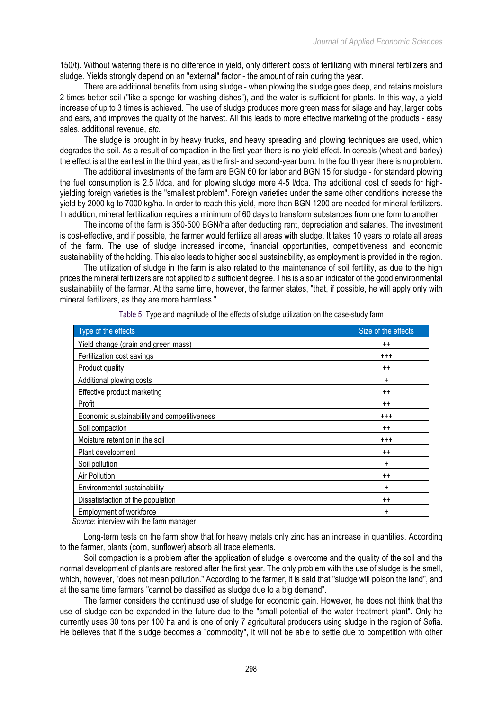150/t). Without watering there is no difference in yield, only different costs of fertilizing with mineral fertilizers and sludge. Yields strongly depend on an "external" factor - the amount of rain during the year.

There are additional benefits from using sludge - when plowing the sludge goes deep, and retains moisture 2 times better soil ("like a sponge for washing dishes"), and the water is sufficient for plants. In this way, a yield increase of up to 3 times is achieved. The use of sludge produces more green mass for silage and hay, larger cobs and ears, and improves the quality of the harvest. All this leads to more effective marketing of the products - easy sales, additional revenue, *etc*.

The sludge is brought in by heavy trucks, and heavy spreading and plowing techniques are used, which degrades the soil. As a result of compaction in the first year there is no yield effect. In cereals (wheat and barley) the effect is at the earliest in the third year, as the first- and second-year burn. In the fourth year there is no problem.

The additional investments of the farm are BGN 60 for labor and BGN 15 for sludge - for standard plowing the fuel consumption is 2.5 l/dca, and for plowing sludge more 4-5 l/dca. The additional cost of seeds for highyielding foreign varieties is the "smallest problem". Foreign varieties under the same other conditions increase the yield by 2000 kg to 7000 kg/ha. In order to reach this yield, more than BGN 1200 are needed for mineral fertilizers. In addition, mineral fertilization requires a minimum of 60 days to transform substances from one form to another.

The income of the farm is 350-500 BGN/ha after deducting rent, depreciation and salaries. The investment is cost-effective, and if possible, the farmer would fertilize all areas with sludge. It takes 10 years to rotate all areas of the farm. The use of sludge increased income, financial opportunities, competitiveness and economic sustainability of the holding. This also leads to higher social sustainability, as employment is provided in the region.

The utilization of sludge in the farm is also related to the maintenance of soil fertility, as due to the high prices the mineral fertilizers are not applied to a sufficient degree. This is also an indicator of the good environmental sustainability of the farmer. At the same time, however, the farmer states, "that, if possible, he will apply only with mineral fertilizers, as they are more harmless."

| Type of the effects                         | Size of the effects |
|---------------------------------------------|---------------------|
| Yield change (grain and green mass)         | $++$                |
| Fertilization cost savings                  | $^{+++}$            |
| Product quality                             | $++$                |
| Additional plowing costs                    | ÷                   |
| Effective product marketing                 | $++$                |
| Profit                                      | $++$                |
| Economic sustainability and competitiveness | $^{++}$             |
| Soil compaction                             | $++$                |
| Moisture retention in the soil              | $^{+++}$            |
| Plant development                           | $++$                |
| Soil pollution                              | ÷                   |
| Air Pollution                               | $++$                |
| Environmental sustainability                | +                   |
| Dissatisfaction of the population           | $++$                |
| Employment of workforce                     | +                   |

Table 5. Type and magnitude of the effects of sludge utilization on the case-study farm

*Source*: interview with the farm manager

Long-term tests on the farm show that for heavy metals only zinc has an increase in quantities. According to the farmer, plants (corn, sunflower) absorb all trace elements.

Soil compaction is a problem after the application of sludge is overcome and the quality of the soil and the normal development of plants are restored after the first year. The only problem with the use of sludge is the smell, which, however, "does not mean pollution." According to the farmer, it is said that "sludge will poison the land", and at the same time farmers "cannot be classified as sludge due to a big demand".

The farmer considers the continued use of sludge for economic gain. However, he does not think that the use of sludge can be expanded in the future due to the "small potential of the water treatment plant". Only he currently uses 30 tons per 100 ha and is one of only 7 agricultural producers using sludge in the region of Sofia. He believes that if the sludge becomes a "commodity", it will not be able to settle due to competition with other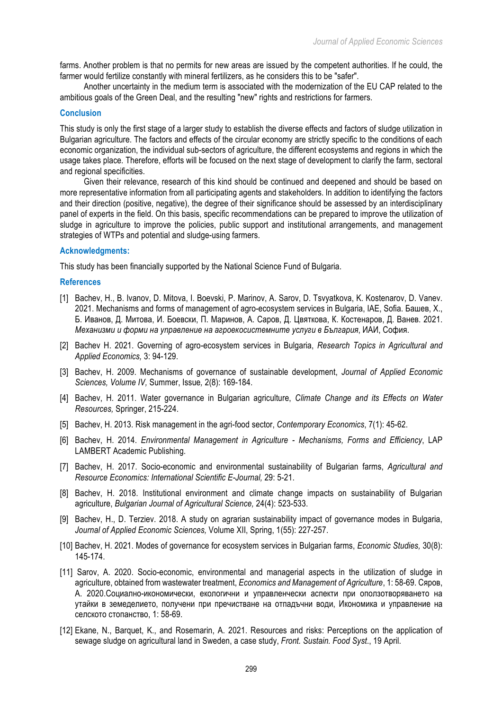farms. Another problem is that no permits for new areas are issued by the competent authorities. If he could, the farmer would fertilize constantly with mineral fertilizers, as he considers this to be "safer".

Another uncertainty in the medium term is associated with the modernization of the EU CAP related to the ambitious goals of the Green Deal, and the resulting "new" rights and restrictions for farmers.

## **Conclusion**

This study is only the first stage of a larger study to establish the diverse effects and factors of sludge utilization in Bulgarian agriculture. The factors and effects of the circular economy are strictly specific to the conditions of each economic organization, the individual sub-sectors of agriculture, the different ecosystems and regions in which the usage takes place. Therefore, efforts will be focused on the next stage of development to clarify the farm, sectoral and regional specificities.

Given their relevance, research of this kind should be continued and deepened and should be based on more representative information from all participating agents and stakeholders. In addition to identifying the factors and their direction (positive, negative), the degree of their significance should be assessed by an interdisciplinary panel of experts in the field. On this basis, specific recommendations can be prepared to improve the utilization of sludge in agriculture to improve the policies, public support and institutional arrangements, and management strategies of WTPs and potential and sludge-using farmers.

## **Acknowledgments:**

This study has been financially supported by the National Science Fund of Bulgaria.

#### **References**

- [1] Bachev, H., B. Ivanov, D. Mitova, I. Boevski, P. Marinov, A. Sarov, D. Tsvyatkova, K. Kostenarov, D. Vanev. 2021. Mechanisms and forms of management of agro-ecosystem services in Bulgaria, IAE, Sofia. Башев, Х., Б. Иванов, Д. Митова, И. Боевски, П. Маринов, А. Саров, Д. Цвяткова, К. Костенаров, Д. Ванев. 2021. *Механизми и форми на управление на агроекосистемните услуги в България*, ИАИ, София.
- [2] Bachev H. 2021. Governing of agro-ecosystem services in Bulgaria, *Research Topics in Agricultural and Applied Economics,* 3: 94-129.
- [3] Bachev, H. 2009. Mechanisms of governance of sustainable development, *Journal of Applied Economic Sciences, Volume IV,* Summer, Issue*,* 2(8): 169-184.
- [4] Bachev, H. 2011. Water governance in Bulgarian agriculture, *Climate Change and its Effects on Water Resources,* Springer, 215-224.
- [5] Bachev, H. 2013. Risk management in the agri-food sector, *Contemporary Economics*, 7(1): 45-62.
- [6] Bachev, H. 2014. *Environmental Management in Agriculture - Mechanisms, Forms and Efficiency*, LAP LAMBERT Academic Publishing.
- [7] Bachev, H. 2017. Socio-economic and environmental sustainability of Bulgarian farms, *Agricultural and Resource Economics: International Scientific E-Journal,* 29: 5-21.
- [8] Bachev, H. 2018. Institutional environment and climate change impacts on sustainability of Bulgarian agriculture, *Bulgarian Journal of Agricultural Science,* 24(4): 523-533.
- [9] Bachev, H., D. Terziev. 2018. A study on agrarian sustainability impact of governance modes in Bulgaria, *Journal of Applied Economic Sciences,* Volume XII, Spring, 1(55): 227-257.
- [10] Bachev, H. 2021. Modes of governance for ecosystem services in Bulgarian farms, *Economic Studies,* 30(8): 145-174.
- [11] Sarov, A. 2020. Socio-economic, environmental and managerial aspects in the utilization of sludge in agriculture, obtained from wastewater treatment, *Economics and Management of Agriculture*, 1: 58-69. Сяров, А. 2020.Социално-икономически, екологични и управленчески аспекти при оползотворяването на утайки в земеделието, получени при пречистване на отпадъчни води, Икономика и управление на селското стопанство, 1: 58-69.
- [12] Ekane, N., Barquet, K., and Rosemarin, A. 2021. Resources and risks: Perceptions on the application of sewage sludge on agricultural land in Sweden, a case study, *Front. Sustain. Food Syst*., 19 April.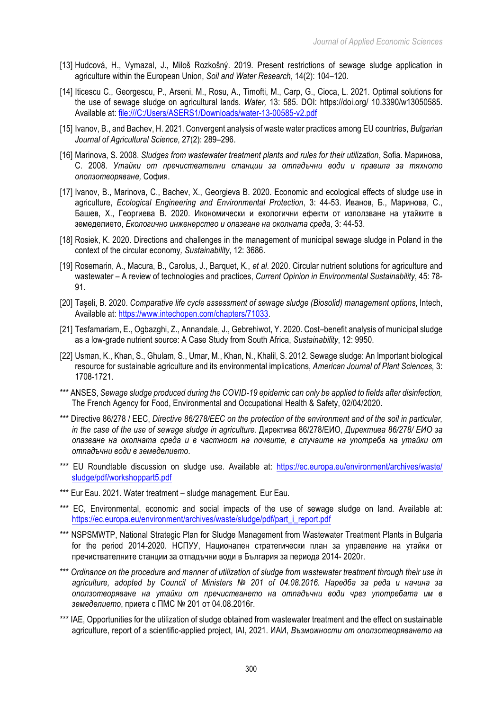- [13] Hudcová, H., Vymazal, J., Miloš Rozkošný. 2019. Present restrictions of sewage sludge application in agriculture within the European Union, *Soil and Water Research*, 14(2): 104–120.
- [14] Iticescu C., Georgescu, P., Arseni, M., Rosu, A., Timofti, M., Carp, G., Cioca, L. 2021. Optimal solutions for the use of sewage sludge on agricultural lands. *Water,* 13: 585. DOI: https://doi.org/ 10.3390/w13050585. Available at: file:///C:/Users/ASERS1/Downloads/water-13-00585-v2.pdf
- [15] Ivanov, B., and Bachev, H. 2021. Convergent analysis of waste water practices among EU countries, *Bulgarian Journal of Agricultural Science*, 27(2): 289–296.
- [16] Marinova, S. 2008. *Sludges from wastewater treatment plants and rules for their utilization*, Sofia. Маринова, С. 2008. *Утайки от пречиствателни станции за отпадъчни води и правила за тяхното оползотворяване,* София.
- [17] Ivanov, B., Marinova, C., Bachev, X., Georgieva B. 2020. Economic and ecological effects of sludge use in agriculture, *Ecological Engineering and Environmental Protection*, 3: 44-53. Иванов, Б., Маринова, C., Башев, X., Георгиева B. 2020. Икономически и екологични ефекти от използване на утайките в земеделието, *Екологично инженерство и опазване на околната среда*, 3: 44-53.
- [18] Rosiek, K. 2020. Directions and challenges in the management of municipal sewage sludge in Poland in the context of the circular economy*, Sustainability*, 12: 3686.
- [19] Rosemarin, A., Macura, B., Carolus, J., Barquet, K., *et al*. 2020. Circular nutrient solutions for agriculture and wastewater – A review of technologies and practices, *Current Opinion in Environmental Sustainability*, 45: 78- 91.
- [20] Taşeli, B. 2020. *Comparative life cycle assessment of sewage sludge (Biosolid) management options*, Intech, Available at: https://www.intechopen.com/chapters/71033.
- [21] Tesfamariam, E., Ogbazghi, Z., Annandale, J., Gebrehiwot, Y. 2020. Cost–benefit analysis of municipal sludge as a low-grade nutrient source: A Case Study from South Africa, *Sustainability*, 12: 9950.
- [22] Usman, K., Khan, S., Ghulam, S., Umar, M., Khan, N., Khalil, S. 2012. Sewage sludge: An Important biological resource for sustainable agriculture and its environmental implications, *American Journal of Plant Sciences,* 3: 1708-1721.
- \*\*\* ANSES, *Sewage sludge produced during the COVID-19 epidemic can only be applied to fields after disinfection,* The French Agency for Food, Environmental and Occupational Health & Safety, 02/04/2020.
- \*\*\* Directive 86/278 / EEC, *Directive 86/278/EEC on the protection of the environment and of the soil in particular, in the case of the use of sewage sludge in agriculture.* Директива 86/278/ЕИО, *Директива 86/278/ ЕИО за опазване на околната среда и в частност на почвите, в случаите на употреба на утайки от отпадъчни води в земеделието*.
- \*\*\* EU Roundtable discussion on sludge use. Available at: https://ec.europa.eu/environment/archives/waste/ sludge/pdf/workshoppart5.pdf
- \*\*\* Eur Eau. 2021. Water treatment sludge management. Eur Eau.
- \*\*\* EС, Environmental, economic and social impacts of the use of sewage sludge on land. Available at: https://ec.europa.eu/environment/archives/waste/sludge/pdf/part\_i\_report.pdf
- \*\*\* NSPSMWTP, National Strategic Plan for Sludge Management from Wastewater Treatment Plants in Bulgaria for the period 2014-2020. НСПУУ, Национален стратегически план за управление на утайки от пречиствателните станции за отпадъчни води в България за периода 2014- 2020г.
- \*\*\* *Ordinance on the procedure and manner of utilization of sludge from wastewater treatment through their use in agriculture, adopted by Council of Ministers № 201 of 04.08.2016. Наредба за реда и начина за оползотворяване на утайки от пречистването на отпадъчни води чрез употребата им в земеделието*, приета с ПМС № 201 от 04.08.2016г.
- \*\*\* IAE, Opportunities for the utilization of sludge obtained from wastewater treatment and the effect on sustainable agriculture, report of a scientific-applied project, IAI, 2021. ИАИ, *Възможности от оползотворяването на*